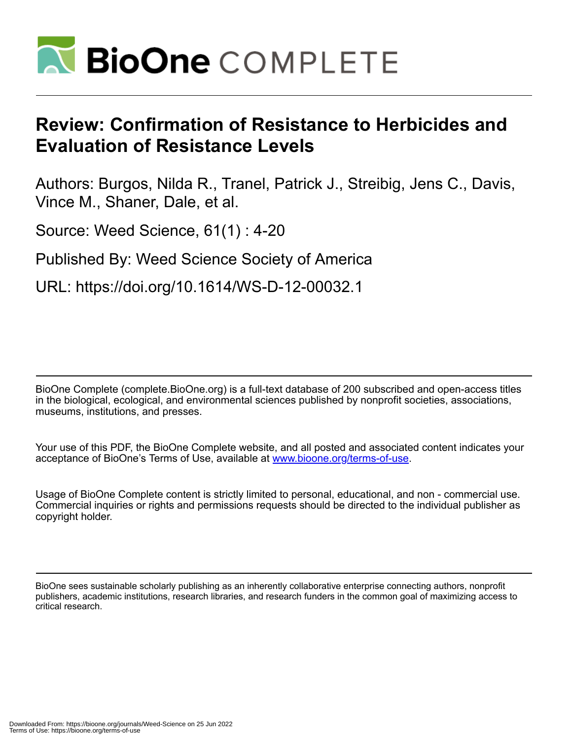

# **Review: Confirmation of Resistance to Herbicides and Evaluation of Resistance Levels**

Authors: Burgos, Nilda R., Tranel, Patrick J., Streibig, Jens C., Davis, Vince M., Shaner, Dale, et al.

Source: Weed Science, 61(1) : 4-20

Published By: Weed Science Society of America

URL: https://doi.org/10.1614/WS-D-12-00032.1

BioOne Complete (complete.BioOne.org) is a full-text database of 200 subscribed and open-access titles in the biological, ecological, and environmental sciences published by nonprofit societies, associations, museums, institutions, and presses.

Your use of this PDF, the BioOne Complete website, and all posted and associated content indicates your acceptance of BioOne's Terms of Use, available at www.bioone.org/terms-of-use.

Usage of BioOne Complete content is strictly limited to personal, educational, and non - commercial use. Commercial inquiries or rights and permissions requests should be directed to the individual publisher as copyright holder.

BioOne sees sustainable scholarly publishing as an inherently collaborative enterprise connecting authors, nonprofit publishers, academic institutions, research libraries, and research funders in the common goal of maximizing access to critical research.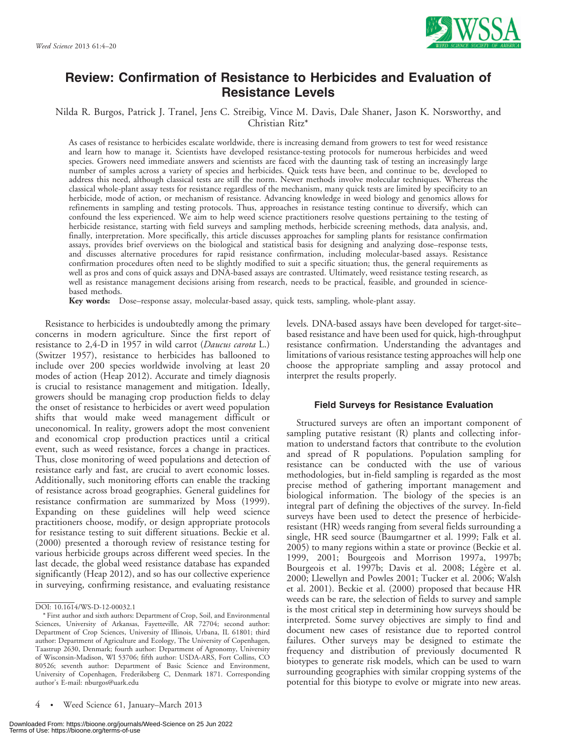

# Review: Confirmation of Resistance to Herbicides and Evaluation of Resistance Levels

Nilda R. Burgos, Patrick J. Tranel, Jens C. Streibig, Vince M. Davis, Dale Shaner, Jason K. Norsworthy, and Christian Ritz\*

As cases of resistance to herbicides escalate worldwide, there is increasing demand from growers to test for weed resistance and learn how to manage it. Scientists have developed resistance-testing protocols for numerous herbicides and weed species. Growers need immediate answers and scientists are faced with the daunting task of testing an increasingly large number of samples across a variety of species and herbicides. Quick tests have been, and continue to be, developed to address this need, although classical tests are still the norm. Newer methods involve molecular techniques. Whereas the classical whole-plant assay tests for resistance regardless of the mechanism, many quick tests are limited by specificity to an herbicide, mode of action, or mechanism of resistance. Advancing knowledge in weed biology and genomics allows for refinements in sampling and testing protocols. Thus, approaches in resistance testing continue to diversify, which can confound the less experienced. We aim to help weed science practitioners resolve questions pertaining to the testing of herbicide resistance, starting with field surveys and sampling methods, herbicide screening methods, data analysis, and, finally, interpretation. More specifically, this article discusses approaches for sampling plants for resistance confirmation assays, provides brief overviews on the biological and statistical basis for designing and analyzing dose–response tests, and discusses alternative procedures for rapid resistance confirmation, including molecular-based assays. Resistance confirmation procedures often need to be slightly modified to suit a specific situation; thus, the general requirements as well as pros and cons of quick assays and DNA-based assays are contrasted. Ultimately, weed resistance testing research, as well as resistance management decisions arising from research, needs to be practical, feasible, and grounded in sciencebased methods.

Key words: Dose–response assay, molecular-based assay, quick tests, sampling, whole-plant assay.

Resistance to herbicides is undoubtedly among the primary concerns in modern agriculture. Since the first report of resistance to 2,4-D in 1957 in wild carrot (Daucus carota L.) (Switzer 1957), resistance to herbicides has ballooned to include over 200 species worldwide involving at least 20 modes of action (Heap 2012). Accurate and timely diagnosis is crucial to resistance management and mitigation. Ideally, growers should be managing crop production fields to delay the onset of resistance to herbicides or avert weed population shifts that would make weed management difficult or uneconomical. In reality, growers adopt the most convenient and economical crop production practices until a critical event, such as weed resistance, forces a change in practices. Thus, close monitoring of weed populations and detection of resistance early and fast, are crucial to avert economic losses. Additionally, such monitoring efforts can enable the tracking of resistance across broad geographies. General guidelines for resistance confirmation are summarized by Moss (1999). Expanding on these guidelines will help weed science practitioners choose, modify, or design appropriate protocols for resistance testing to suit different situations. Beckie et al. (2000) presented a thorough review of resistance testing for various herbicide groups across different weed species. In the last decade, the global weed resistance database has expanded significantly (Heap 2012), and so has our collective experience in surveying, confirming resistance, and evaluating resistance

levels. DNA-based assays have been developed for target-site– based resistance and have been used for quick, high-throughput resistance confirmation. Understanding the advantages and limitations of various resistance testing approaches will help one choose the appropriate sampling and assay protocol and interpret the results properly.

#### Field Surveys for Resistance Evaluation

Structured surveys are often an important component of sampling putative resistant (R) plants and collecting information to understand factors that contribute to the evolution and spread of R populations. Population sampling for resistance can be conducted with the use of various methodologies, but in-field sampling is regarded as the most precise method of gathering important management and biological information. The biology of the species is an integral part of defining the objectives of the survey. In-field surveys have been used to detect the presence of herbicideresistant (HR) weeds ranging from several fields surrounding a single, HR seed source (Baumgartner et al. 1999; Falk et al. 2005) to many regions within a state or province (Beckie et al. 1999, 2001; Bourgeois and Morrison 1997a, 1997b; Bourgeois et al. 1997b; Davis et al. 2008; Légère et al. 2000; Llewellyn and Powles 2001; Tucker et al. 2006; Walsh et al. 2001). Beckie et al. (2000) proposed that because HR weeds can be rare, the selection of fields to survey and sample is the most critical step in determining how surveys should be interpreted. Some survey objectives are simply to find and document new cases of resistance due to reported control failures. Other surveys may be designed to estimate the frequency and distribution of previously documented R biotypes to generate risk models, which can be used to warn surrounding geographies with similar cropping systems of the potential for this biotype to evolve or migrate into new areas.

DOI: 10.1614/WS-D-12-00032.1

<sup>\*</sup> First author and sixth authors: Department of Crop, Soil, and Environmental Sciences, University of Arkansas, Fayetteville, AR 72704; second author: Department of Crop Sciences, University of Illinois, Urbana, IL 61801; third author: Department of Agriculture and Ecology, The University of Copenhagen, Taastrup 2630, Denmark; fourth author: Department of Agronomy, University of Wisconsin-Madison, WI 53706; fifth author: USDA-ARS, Fort Collins, CO 80526; seventh author: Department of Basic Science and Environment, University of Copenhagen, Frederiksberg C, Denmark 1871. Corresponding author's E-mail: nburgos@uark.edu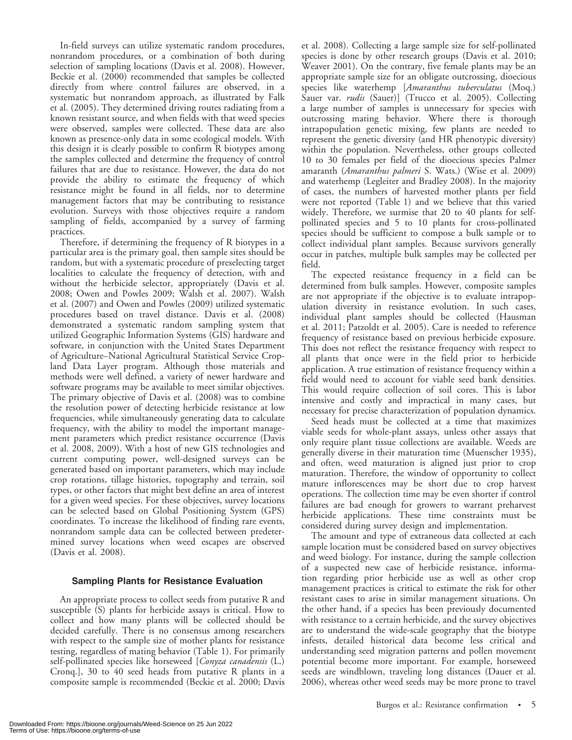In-field surveys can utilize systematic random procedures, nonrandom procedures, or a combination of both during selection of sampling locations (Davis et al. 2008). However, Beckie et al. (2000) recommended that samples be collected directly from where control failures are observed, in a systematic but nonrandom approach, as illustrated by Falk et al. (2005). They determined driving routes radiating from a known resistant source, and when fields with that weed species were observed, samples were collected. These data are also known as presence-only data in some ecological models. With this design it is clearly possible to confirm R biotypes among the samples collected and determine the frequency of control failures that are due to resistance. However, the data do not provide the ability to estimate the frequency of which resistance might be found in all fields, nor to determine management factors that may be contributing to resistance evolution. Surveys with those objectives require a random sampling of fields, accompanied by a survey of farming practices.

Therefore, if determining the frequency of R biotypes in a particular area is the primary goal, then sample sites should be random, but with a systematic procedure of preselecting target localities to calculate the frequency of detection, with and without the herbicide selector, appropriately (Davis et al. 2008; Owen and Powles 2009; Walsh et al. 2007). Walsh et al. (2007) and Owen and Powles (2009) utilized systematic procedures based on travel distance. Davis et al. (2008) demonstrated a systematic random sampling system that utilized Geographic Information Systems (GIS) hardware and software, in conjunction with the United States Department of Agriculture–National Agricultural Statistical Service Cropland Data Layer program. Although those materials and methods were well defined, a variety of newer hardware and software programs may be available to meet similar objectives. The primary objective of Davis et al. (2008) was to combine the resolution power of detecting herbicide resistance at low frequencies, while simultaneously generating data to calculate frequency, with the ability to model the important management parameters which predict resistance occurrence (Davis et al. 2008, 2009). With a host of new GIS technologies and current computing power, well-designed surveys can be generated based on important parameters, which may include crop rotations, tillage histories, topography and terrain, soil types, or other factors that might best define an area of interest for a given weed species. For these objectives, survey locations can be selected based on Global Positioning System (GPS) coordinates. To increase the likelihood of finding rare events, nonrandom sample data can be collected between predetermined survey locations when weed escapes are observed (Davis et al. 2008).

# Sampling Plants for Resistance Evaluation

An appropriate process to collect seeds from putative R and susceptible (S) plants for herbicide assays is critical. How to collect and how many plants will be collected should be decided carefully. There is no consensus among researchers with respect to the sample size of mother plants for resistance testing, regardless of mating behavior (Table 1). For primarily self-pollinated species like horseweed [Conyza canadensis (L.) Cronq.], 30 to 40 seed heads from putative R plants in a composite sample is recommended (Beckie et al. 2000; Davis et al. 2008). Collecting a large sample size for self-pollinated species is done by other research groups (Davis et al. 2010; Weaver 2001). On the contrary, five female plants may be an appropriate sample size for an obligate outcrossing, dioecious species like waterhemp [Amaranthus tuberculatus (Moq.) Sauer var. *rudis* (Sauer)] (Trucco et al. 2005). Collecting a large number of samples is unnecessary for species with outcrossing mating behavior. Where there is thorough intrapopulation genetic mixing, few plants are needed to represent the genetic diversity (and HR phenotypic diversity) within the population. Nevertheless, other groups collected 10 to 30 females per field of the dioecious species Palmer amaranth (Amaranthus palmeri S. Wats.) (Wise et al. 2009) and waterhemp (Legleiter and Bradley 2008). In the majority of cases, the numbers of harvested mother plants per field were not reported (Table 1) and we believe that this varied widely. Therefore, we surmise that 20 to 40 plants for selfpollinated species and 5 to 10 plants for cross-pollinated species should be sufficient to compose a bulk sample or to collect individual plant samples. Because survivors generally occur in patches, multiple bulk samples may be collected per field.

The expected resistance frequency in a field can be determined from bulk samples. However, composite samples are not appropriate if the objective is to evaluate intrapopulation diversity in resistance evolution. In such cases, individual plant samples should be collected (Hausman et al. 2011; Patzoldt et al. 2005). Care is needed to reference frequency of resistance based on previous herbicide exposure. This does not reflect the resistance frequency with respect to all plants that once were in the field prior to herbicide application. A true estimation of resistance frequency within a field would need to account for viable seed bank densities. This would require collection of soil cores. This is labor intensive and costly and impractical in many cases, but necessary for precise characterization of population dynamics.

Seed heads must be collected at a time that maximizes viable seeds for whole-plant assays, unless other assays that only require plant tissue collections are available. Weeds are generally diverse in their maturation time (Muenscher 1935), and often, weed maturation is aligned just prior to crop maturation. Therefore, the window of opportunity to collect mature inflorescences may be short due to crop harvest operations. The collection time may be even shorter if control failures are bad enough for growers to warrant preharvest herbicide applications. These time constraints must be considered during survey design and implementation.

The amount and type of extraneous data collected at each sample location must be considered based on survey objectives and weed biology. For instance, during the sample collection of a suspected new case of herbicide resistance, information regarding prior herbicide use as well as other crop management practices is critical to estimate the risk for other resistant cases to arise in similar management situations. On the other hand, if a species has been previously documented with resistance to a certain herbicide, and the survey objectives are to understand the wide-scale geography that the biotype infests, detailed historical data become less critical and understanding seed migration patterns and pollen movement potential become more important. For example, horseweed seeds are windblown, traveling long distances (Dauer et al. 2006), whereas other weed seeds may be more prone to travel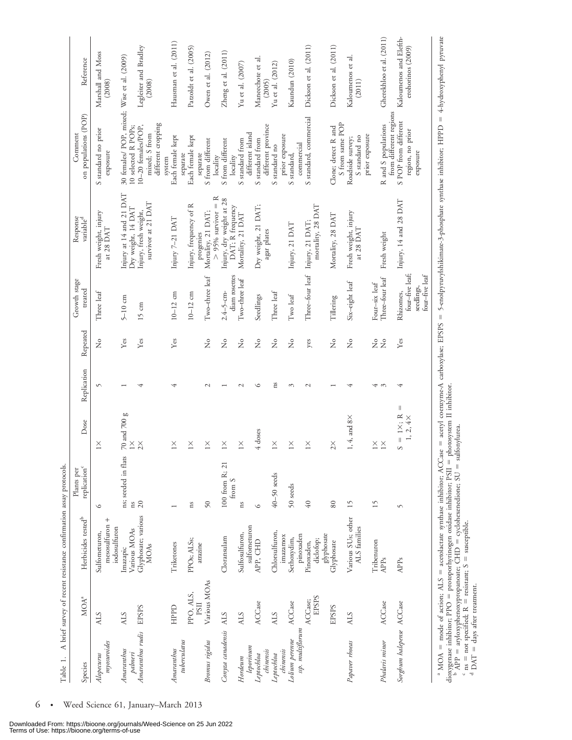| Species                            | $MOA^a$                 | Herbicides tested <sup>b</sup>                          | replication <sup>c</sup><br>Plants per | Dose                                                                   | Replication              | Repeated                                | Growth stage<br>treated                                      | Response<br>variable <sup>d</sup>                        | on populations (POP)<br>Comment                                   | Reference                                   |
|------------------------------------|-------------------------|---------------------------------------------------------|----------------------------------------|------------------------------------------------------------------------|--------------------------|-----------------------------------------|--------------------------------------------------------------|----------------------------------------------------------|-------------------------------------------------------------------|---------------------------------------------|
| myosuroides<br>Alopecurus          | ALS                     | $^{+}$<br>mesosulfuron<br>iodosulfuron<br>Sulfometuron, | $\circ$                                | $\geq$                                                                 | $\sqrt{ }$               | $\mathsf{S}^{\mathsf{o}}$               | Three leaf                                                   | Fresh weight, injury<br>at 28 DAT                        | S standard no prior<br>exposure                                   | Marshall and Moss<br>(2008)                 |
| Amaranthus<br>palmeri              | ALS                     | Various MOAs<br>Imazapic                                | ns; seeded in flats<br>ns              | $70$ and $700~{\rm g}$<br>$_{\rm 1}^{\rm X}$                           | $\overline{\phantom{0}}$ | Yes                                     | $5-10$ cm                                                    | Injury at 14 and 21 DAT<br>Dry weight, 14 DAT            | 30 females/ POP, mixed; Wise et al. (2009)<br>10 selected R POPs; |                                             |
| Amaranthus rudis                   | EPSPS                   | Glyphosate; various<br><b>MOAs</b>                      | 20                                     | $2\times$                                                              | 4                        | Yes                                     | $15 \text{ cm}$                                              | survivor at 21 DAT<br>Injury, fresh weight,              | different cropping<br>10-20 females/POP,<br>mixed; S from         | Legleiter and Bradley<br>(2008)             |
| tuberculatus<br>Amaranthus         | HPPD                    | Triketones                                              |                                        | $\geq$                                                                 | 4                        | Yes                                     | $10-12$ cm                                                   | Injury 7-21 DAT                                          | Each female kept<br>separate<br>system                            | Hausman et al. (2011)                       |
|                                    | PPO, ALS,<br>PSII       | PPO <sub>s</sub> ; ALS <sub>s</sub> ;<br>atrazine       | ns                                     | $\geq$                                                                 |                          |                                         | $10-12$ cm                                                   | Injury, frequency of R<br>progenies                      | Each female kept<br>separate                                      | Patzoldt et al. (2005)                      |
| Bromus rigidus                     | Various MOAs            |                                                         | 50                                     | $\geq$                                                                 | $\sim$                   | $\frac{1}{2}$                           | Two-three leaf                                               | $\approx$<br>$> 95\%$ survivor $=$<br>Mortality, 21 DAT; | S from different<br>locality                                      | Owen et al. (2012)                          |
| Conyza canadensis ALS              |                         | Cloransulam                                             | $100$ from R; $21$<br>from S           | $\geq$                                                                 |                          | $\mathcal{L}^{\circ}$                   | diam rosettes<br>2.4-5-cm-                                   | Injury, dry weight at 28<br>DAT; R frequency             | from different<br>locality<br>S                                   | Zheng et al. (2011)                         |
| leporinum<br>Hordeum               | <b>ALS</b>              | sulfometuron<br>Sulfosulfuron,                          | ns                                     | $\geq$                                                                 | 2                        | ż                                       | Two-three leaf                                               | Mortality, 21 DAT                                        | different island<br>standard from<br>S                            | Yu et al. (2007)                            |
| chinensis<br>Leptochloa            | <b>ACCase</b>           | APP, CHD                                                | $\circ$                                | $4$ doses                                                              | ৩                        | $\mathcal{L}^{\circ}$                   | Seedlings                                                    | Dry weight, 21 DAT;<br>agar plates                       | different province<br>standard from<br>S                          | Manechote et al.<br>(2005)                  |
| chinensis<br>Leptochloa            | ALS                     | Chlorsulfuron,<br>imazamox                              | $40 - 50$ seeds                        | $\geq$                                                                 | ns                       | $\mathcal{L}^{\circ}$                   | Three leaf                                                   |                                                          | prior exposure<br>standard no<br>S                                | Yu et al. (2012)                            |
| ssp. multiflorum<br>Lolium perenne | ACCase                  | pinoxaden<br>Sethoxydim,                                | 50 seeds                               | $\geq$                                                                 | 3                        | $\frac{1}{2}$                           | Two leaf                                                     | Injury, 21 DAT                                           | commercial<br>standard,<br>S                                      | Kaundun (2010)                              |
|                                    | <b>EPSPS</b><br>ACCase; | glyphosate<br>diclofop;<br>Pinoxaden,                   | 40                                     | $\geq$                                                                 | $\mathbf{\sim}$          | yes                                     |                                                              | mortality, 28 DAT<br>Three-four leaf Injury, 21 DAT;     | S standard, commercial                                            | Dickson et al. (2011)                       |
|                                    | <b>EPSPS</b>            | Glyphosate                                              | 80                                     | $2\times$                                                              |                          | $\frac{1}{2}$                           | Tillering                                                    | Mortality, 28 DAT                                        | S from same POP<br>Clone; detect R and                            | Dickson et al. (2011)                       |
| Papaver rhoeas                     | ALS                     | Various SUs; other<br>ALS families                      | 15                                     | 1, 4, and $8\times$                                                    | પ                        | $\stackrel{\circ}{\mathbf{Z}}$          | Six-eight leaf                                               | Fresh weight, injury<br>at 28 DAT                        | prior exposure<br>S standard no<br>Roadside survey;               | Kaloumenos et al.<br>(2011)                 |
| Phalaris minor                     | <b>ACCase</b>           | Tribenuron<br>APP <sub>s</sub>                          | 15                                     | $\overline{1}$ X<br>$1\times$                                          | 43                       | $\frac{1}{2}$<br>$\overline{X}^{\circ}$ | Three-four leaf<br>Four-six leaf                             | Fresh weight                                             | from different regions<br>R and S populations                     | Gherekhloo et al. (2011)                    |
| Sorghum halepense ACCase           |                         | <b>APP</b> s                                            | $\widehat{\phantom{a}}$                | $\mid \mid$<br>$= 1 \times; R$<br>$2, 4 \times$<br>$\overline{1}$<br>S | 4                        | Yes                                     | four-five leaf;<br>four-five leaf<br>seedlings,<br>Rhizomes, | Injury, 14 and 28 DAT                                    | S POP from different<br>region, no prior<br>exposure              | Kaloumenos and Elefth-<br>erohorinos (2009) |

a MOA = mode of action; ALS acetolactate synthase inhibitor; ACCase acetyl coenzyme-A carboxylase; EPSPS 5-enolpyruvylshikimate-3-phosphate synthase inhibitor; HPPD dioxygenase inhibitor; PPO protoporhyrinogen oxidase inhibitor; PSII photosystem II inhibitor. b APP

 aryloxyphenoxypropanoate; CHD cyclohexenedione; SU sulfonylurea.

c ns not specified; R resistant; S susceptible.

d DAT days after treatment.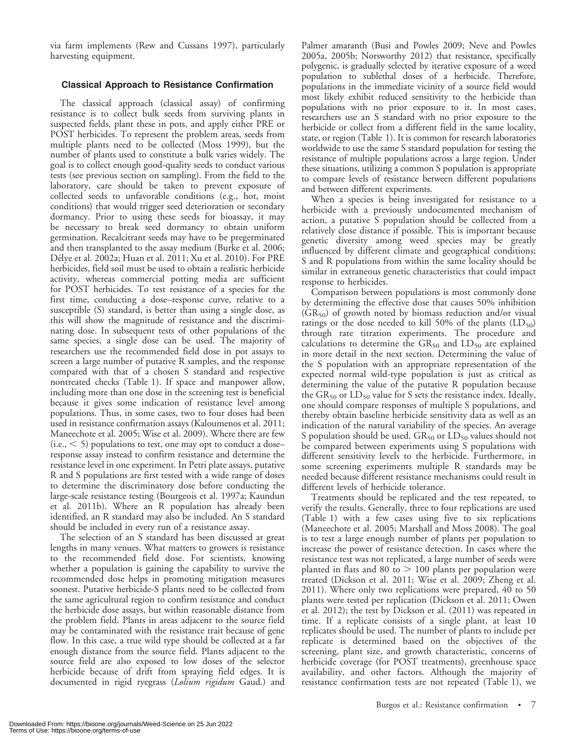via farm implements (Rew and Cussans 1997), particularly harvesting equipment.

# Classical Approach to Resistance Confirmation

The classical approach (classical assay) of confirming resistance is to collect bulk seeds from surviving plants in suspected fields, plant these in pots, and apply either PRE or POST herbicides. To represent the problem areas, seeds from multiple plants need to be collected (Moss 1999), but the number of plants used to constitute a bulk varies widely. The goal is to collect enough good-quality seeds to conduct various tests (see previous section on sampling). From the field to the laboratory, care should be taken to prevent exposure of collected seeds to unfavorable conditions (e.g., hot, moist conditions) that would trigger seed deterioration or secondary dormancy. Prior to using these seeds for bioassay, it may be necessary to break seed dormancy to obtain uniform germination. Recalcitrant seeds may have to be pregerminated and then transplanted to the assay medium (Burke et al. 2006; Délye et al. 2002a; Huan et al. 2011; Xu et al. 2010). For PRE herbicides, field soil must be used to obtain a realistic herbicide activity, whereas commercial potting media are sufficient for POST herbicides. To test resistance of a species for the first time, conducting a dose–response curve, relative to a susceptible (S) standard, is better than using a single dose, as this will show the magnitude of resistance and the discriminating dose. In subsequent tests of other populations of the same species, a single dose can be used. The majority of researchers use the recommended field dose in pot assays to screen a large number of putative R samples, and the response compared with that of a chosen S standard and respective nontreated checks (Table 1). If space and manpower allow, including more than one dose in the screening test is beneficial because it gives some indication of resistance level among populations. Thus, in some cases, two to four doses had been used in resistance confirmation assays (Kaloumenos et al. 2011; Maneechote et al. 2005; Wise et al. 2009). Where there are few  $(i.e., < 5)$  populations to test, one may opt to conduct a dose– response assay instead to confirm resistance and determine the resistance level in one experiment. In Petri plate assays, putative R and S populations are first tested with a wide range of doses to determine the discriminatory dose before conducting the large-scale resistance testing (Bourgeois et al. 1997a; Kaundun et al. 2011b). Where an R population has already been identified, an R standard may also be included. An S standard should be included in every run of a resistance assay.

The selection of an S standard has been discussed at great lengths in many venues. What matters to growers is resistance to the recommended field dose. For scientists, knowing whether a population is gaining the capability to survive the recommended dose helps in promoting mitigation measures soonest. Putative herbicide-S plants need to be collected from the same agricultural region to confirm resistance and conduct the herbicide dose assays, but within reasonable distance from the problem field. Plants in areas adjacent to the source field may be contaminated with the resistance trait because of gene flow. In this case, a true wild type should be collected at a far enough distance from the source field. Plants adjacent to the source field are also exposed to low doses of the selector herbicide because of drift from spraying field edges. It is documented in rigid ryegrass (Lolium rigidum Gaud.) and Palmer amaranth (Busi and Powles 2009; Neve and Powles 2005a, 2005b; Norsworthy 2012) that resistance, specifically polygenic, is gradually selected by iterative exposure of a weed population to sublethal doses of a herbicide. Therefore, populations in the immediate vicinity of a source field would most likely exhibit reduced sensitivity to the herbicide than populations with no prior exposure to it. In most cases, researchers use an S standard with no prior exposure to the herbicide or collect from a different field in the same locality, state, or region (Table 1). It is common for research laboratories worldwide to use the same S standard population for testing the resistance of multiple populations across a large region. Under these situations, utilizing a common S population is appropriate to compare levels of resistance between different populations and between different experiments.

When a species is being investigated for resistance to a herbicide with a previously undocumented mechanism of action, a putative S population should be collected from a relatively close distance if possible. This is important because genetic diversity among weed species may be greatly influenced by different climate and geographical conditions; S and R populations from within the same locality should be similar in extraneous genetic characteristics that could impact response to herbicides.

Comparison between populations is most commonly done by determining the effective dose that causes 50% inhibition  $(GR_{50})$  of growth noted by biomass reduction and/or visual ratings or the dose needed to kill 50% of the plants  $(LD_{50})$ through rate titration experiments. The procedure and calculations to determine the  $GR_{50}$  and  $LD_{50}$  are explained in more detail in the next section. Determining the value of the S population with an appropriate representation of the expected normal wild-type population is just as critical as determining the value of the putative R population because the  $GR_{50}$  or  $LD_{50}$  value for S sets the resistance index. Ideally, one should compare responses of multiple S populations, and thereby obtain baseline herbicide sensitivity data as well as an indication of the natural variability of the species. An average S population should be used.  $GR_{50}$  or  $LD_{50}$  values should not be compared between experiments using S populations with different sensitivity levels to the herbicide. Furthermore, in some screening experiments multiple R standards may be needed because different resistance mechanisms could result in different levels of herbicide tolerance.

Treatments should be replicated and the test repeated, to verify the results. Generally, three to four replications are used (Table 1) with a few cases using five to six replications (Maneechote et al. 2005; Marshall and Moss 2008). The goal is to test a large enough number of plants per population to increase the power of resistance detection. In cases where the resistance test was not replicated, a large number of seeds were planted in flats and 80 to  $> 100$  plants per population were treated (Dickson et al. 2011; Wise et al. 2009; Zheng et al. 2011). Where only two replications were prepared, 40 to 50 plants were tested per replication (Dickson et al. 2011; Owen et al. 2012); the test by Dickson et al. (2011) was repeated in time. If a replicate consists of a single plant, at least 10 replicates should be used. The number of plants to include per replicate is determined based on the objectives of the screening, plant size, and growth characteristic, concerns of herbicide coverage (for POST treatments), greenhouse space availability, and other factors. Although the majority of resistance confirmation tests are not repeated (Table 1), we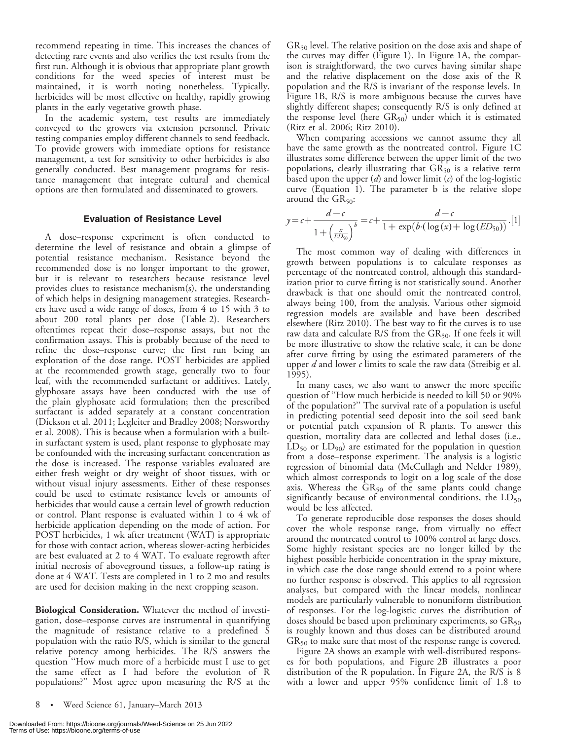recommend repeating in time. This increases the chances of detecting rare events and also verifies the test results from the first run. Although it is obvious that appropriate plant growth conditions for the weed species of interest must be maintained, it is worth noting nonetheless. Typically, herbicides will be most effective on healthy, rapidly growing plants in the early vegetative growth phase.

In the academic system, test results are immediately conveyed to the growers via extension personnel. Private testing companies employ different channels to send feedback. To provide growers with immediate options for resistance management, a test for sensitivity to other herbicides is also generally conducted. Best management programs for resistance management that integrate cultural and chemical options are then formulated and disseminated to growers.

#### Evaluation of Resistance Level

A dose–response experiment is often conducted to determine the level of resistance and obtain a glimpse of potential resistance mechanism. Resistance beyond the recommended dose is no longer important to the grower, but it is relevant to researchers because resistance level provides clues to resistance mechanism(s), the understanding of which helps in designing management strategies. Researchers have used a wide range of doses, from 4 to 15 with 3 to about 200 total plants per dose (Table 2). Researchers oftentimes repeat their dose–response assays, but not the confirmation assays. This is probably because of the need to refine the dose–response curve; the first run being an exploration of the dose range. POST herbicides are applied at the recommended growth stage, generally two to four leaf, with the recommended surfactant or additives. Lately, glyphosate assays have been conducted with the use of the plain glyphosate acid formulation; then the prescribed surfactant is added separately at a constant concentration (Dickson et al. 2011; Legleiter and Bradley 2008; Norsworthy et al. 2008). This is because when a formulation with a builtin surfactant system is used, plant response to glyphosate may be confounded with the increasing surfactant concentration as the dose is increased. The response variables evaluated are either fresh weight or dry weight of shoot tissues, with or without visual injury assessments. Either of these responses could be used to estimate resistance levels or amounts of herbicides that would cause a certain level of growth reduction or control. Plant response is evaluated within 1 to 4 wk of herbicide application depending on the mode of action. For POST herbicides, 1 wk after treatment (WAT) is appropriate for those with contact action, whereas slower-acting herbicides are best evaluated at 2 to 4 WAT. To evaluate regrowth after initial necrosis of aboveground tissues, a follow-up rating is done at 4 WAT. Tests are completed in 1 to 2 mo and results are used for decision making in the next cropping season.

Biological Consideration. Whatever the method of investigation, dose–response curves are instrumental in quantifying the magnitude of resistance relative to a predefined S population with the ratio R/S, which is similar to the general relative potency among herbicides. The R/S answers the question ''How much more of a herbicide must I use to get the same effect as I had before the evolution of R populations?'' Most agree upon measuring the R/S at the

 $GR_{50}$  level. The relative position on the dose axis and shape of the curves may differ (Figure 1). In Figure 1A, the comparison is straightforward, the two curves having similar shape and the relative displacement on the dose axis of the R population and the R/S is invariant of the response levels. In Figure 1B, R/S is more ambiguous because the curves have slightly different shapes; consequently R/S is only defined at the response level (here  $GR_{50}$ ) under which it is estimated (Ritz et al. 2006; Ritz 2010).

When comparing accessions we cannot assume they all have the same growth as the nontreated control. Figure 1C illustrates some difference between the upper limit of the two populations, clearly illustrating that  $GR_{50}$  is a relative term based upon the upper  $(d)$  and lower limit  $(c)$  of the log-logistic curve (Equation 1). The parameter b is the relative slope around the  $GR_{50}$ :

$$
y = c + \frac{d - c}{1 + \left(\frac{x}{ED_{50}}\right)^b} = c + \frac{d - c}{1 + \exp(b \cdot (\log(x) + \log(ED_{50}))} \cdot [1]
$$

The most common way of dealing with differences in growth between populations is to calculate responses as percentage of the nontreated control, although this standardization prior to curve fitting is not statistically sound. Another drawback is that one should omit the nontreated control, always being 100, from the analysis. Various other sigmoid regression models are available and have been described elsewhere (Ritz 2010). The best way to fit the curves is to use raw data and calculate R/S from the  $GR_{50}$ . If one feels it will be more illustrative to show the relative scale, it can be done after curve fitting by using the estimated parameters of the upper  $d$  and lower  $c$  limits to scale the raw data (Streibig et al. 1995).

In many cases, we also want to answer the more specific question of ''How much herbicide is needed to kill 50 or 90% of the population?'' The survival rate of a population is useful in predicting potential seed deposit into the soil seed bank or potential patch expansion of R plants. To answer this question, mortality data are collected and lethal doses (i.e.,  $LD_{50}$  or  $LD_{90}$ ) are estimated for the population in question from a dose–response experiment. The analysis is a logistic regression of binomial data (McCullagh and Nelder 1989), which almost corresponds to logit on a log scale of the dose axis. Whereas the  $GR_{50}$  of the same plants could change significantly because of environmental conditions, the  $LD_{50}$ would be less affected.

To generate reproducible dose responses the doses should cover the whole response range, from virtually no effect around the nontreated control to 100% control at large doses. Some highly resistant species are no longer killed by the highest possible herbicide concentration in the spray mixture, in which case the dose range should extend to a point where no further response is observed. This applies to all regression analyses, but compared with the linear models, nonlinear models are particularly vulnerable to nonuniform distribution of responses. For the log-logistic curves the distribution of doses should be based upon preliminary experiments, so  $GR_{50}$ is roughly known and thus doses can be distributed around  $GR_{50}$  to make sure that most of the response range is covered.

Figure 2A shows an example with well-distributed responses for both populations, and Figure 2B illustrates a poor distribution of the R population. In Figure 2A, the R/S is 8 with a lower and upper 95% confidence limit of 1.8 to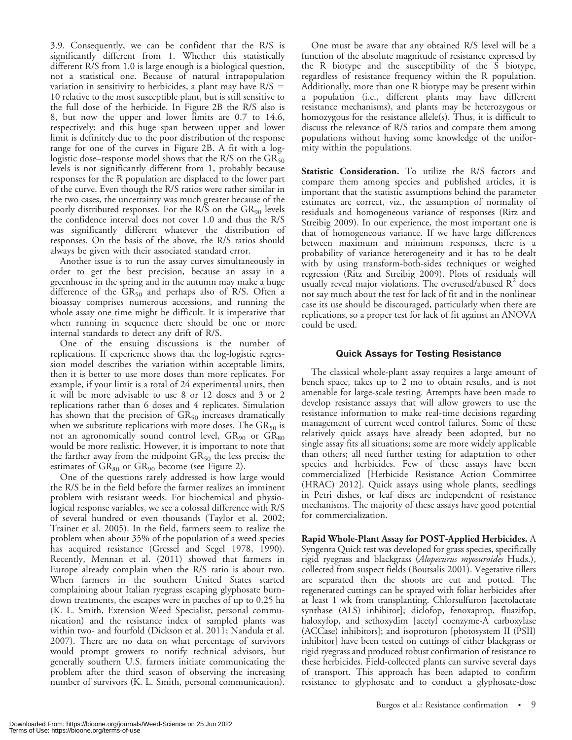3.9. Consequently, we can be confident that the R/S is significantly different from 1. Whether this statistically different R/S from 1.0 is large enough is a biological question, not a statistical one. Because of natural intrapopulation variation in sensitivity to herbicides, a plant may have  $R/S =$ 10 relative to the most susceptible plant, but is still sensitive to the full dose of the herbicide. In Figure 2B the R/S also is 8, but now the upper and lower limits are 0.7 to 14.6, respectively; and this huge span between upper and lower limit is definitely due to the poor distribution of the response range for one of the curves in Figure 2B. A fit with a loglogistic dose–response model shows that the R/S on the  $GR_{50}$ levels is not significantly different from 1, probably because responses for the R population are displaced to the lower part of the curve. Even though the R/S ratios were rather similar in the two cases, the uncertainty was much greater because of the poorly distributed responses. For the R/S on the  $GR_{90}$  levels the confidence interval does not cover 1.0 and thus the R/S was significantly different whatever the distribution of responses. On the basis of the above, the R/S ratios should always be given with their associated standard error.

Another issue is to run the assay curves simultaneously in order to get the best precision, because an assay in a greenhouse in the spring and in the autumn may make a huge difference of the  $GR_{50}$  and perhaps also of R/S. Often a bioassay comprises numerous accessions, and running the whole assay one time might be difficult. It is imperative that when running in sequence there should be one or more internal standards to detect any drift of R/S.

One of the ensuing discussions is the number of replications. If experience shows that the log-logistic regression model describes the variation within acceptable limits, then it is better to use more doses than more replicates. For example, if your limit is a total of 24 experimental units, then it will be more advisable to use 8 or 12 doses and 3 or 2 replications rather than 6 doses and 4 replicates. Simulation has shown that the precision of  $GR_{50}$  increases dramatically when we substitute replications with more doses. The  $GR_{50}$  is not an agronomically sound control level,  $GR_{90}$  or  $GR_{80}$ would be more realistic. However, it is important to note that the farther away from the midpoint  $GR_{50}$  the less precise the estimates of  $GR_{80}$  or  $GR_{90}$  become (see Figure 2).

One of the questions rarely addressed is how large would the R/S be in the field before the farmer realizes an imminent problem with resistant weeds. For biochemical and physiological response variables, we see a colossal difference with R/S of several hundred or even thousands (Taylor et al. 2002; Trainer et al. 2005). In the field, farmers seem to realize the problem when about 35% of the population of a weed species has acquired resistance (Gressel and Segel 1978, 1990). Recently, Mennan et al. (2011) showed that farmers in Europe already complain when the R/S ratio is about two. When farmers in the southern United States started complaining about Italian ryegrass escaping glyphosate burndown treatments, the escapes were in patches of up to 0.25 ha (K. L. Smith, Extension Weed Specialist, personal communication) and the resistance index of sampled plants was within two- and fourfold (Dickson et al. 2011; Nandula et al. 2007). There are no data on what percentage of survivors would prompt growers to notify technical advisors, but generally southern U.S. farmers initiate communicating the problem after the third season of observing the increasing number of survivors (K. L. Smith, personal communication).

One must be aware that any obtained R/S level will be a function of the absolute magnitude of resistance expressed by the R biotype and the susceptibility of the S biotype, regardless of resistance frequency within the R population. Additionally, more than one R biotype may be present within a population (i.e., different plants may have different resistance mechanisms), and plants may be heterozygous or homozygous for the resistance allele(s). Thus, it is difficult to discuss the relevance of R/S ratios and compare them among populations without having some knowledge of the uniformity within the populations.

Statistic Consideration. To utilize the R/S factors and compare them among species and published articles, it is important that the statistic assumptions behind the parameter estimates are correct, viz., the assumption of normality of residuals and homogeneous variance of responses (Ritz and Streibig 2009). In our experience, the most important one is that of homogeneous variance. If we have large differences between maximum and minimum responses, there is a probability of variance heterogeneity and it has to be dealt with by using transform-both-sides techniques or weighed regression (Ritz and Streibig 2009). Plots of residuals will usually reveal major violations. The overused/abused  $R^2$  does not say much about the test for lack of fit and in the nonlinear case its use should be discouraged, particularly when there are replications, so a proper test for lack of fit against an ANOVA could be used.

## Quick Assays for Testing Resistance

The classical whole-plant assay requires a large amount of bench space, takes up to 2 mo to obtain results, and is not amenable for large-scale testing. Attempts have been made to develop resistance assays that will allow growers to use the resistance information to make real-time decisions regarding management of current weed control failures. Some of these relatively quick assays have already been adopted, but no single assay fits all situations; some are more widely applicable than others; all need further testing for adaptation to other species and herbicides. Few of these assays have been commercialized [Herbicide Resistance Action Committee (HRAC) 2012]. Quick assays using whole plants, seedlings in Petri dishes, or leaf discs are independent of resistance mechanisms. The majority of these assays have good potential for commercialization.

Rapid Whole-Plant Assay for POST-Applied Herbicides. A Syngenta Quick test was developed for grass species, specifically rigid ryegrass and blackgrass (Alopecurus myosuroides Huds.), collected from suspect fields (Boutsalis 2001). Vegetative tillers are separated then the shoots are cut and potted. The regenerated cuttings can be sprayed with foliar herbicides after at least 1 wk from transplanting. Chlorsulfuron [acetolactate synthase (ALS) inhibitor]; diclofop, fenoxaprop, fluazifop, haloxyfop, and sethoxydim [acetyl coenzyme-A carboxylase (ACCase) inhibitors]; and isoproturon [photosystem II (PSII) inhibitor] have been tested on cuttings of either blackgrass or rigid ryegrass and produced robust confirmation of resistance to these herbicides. Field-collected plants can survive several days of transport. This approach has been adapted to confirm resistance to glyphosate and to conduct a glyphosate-dose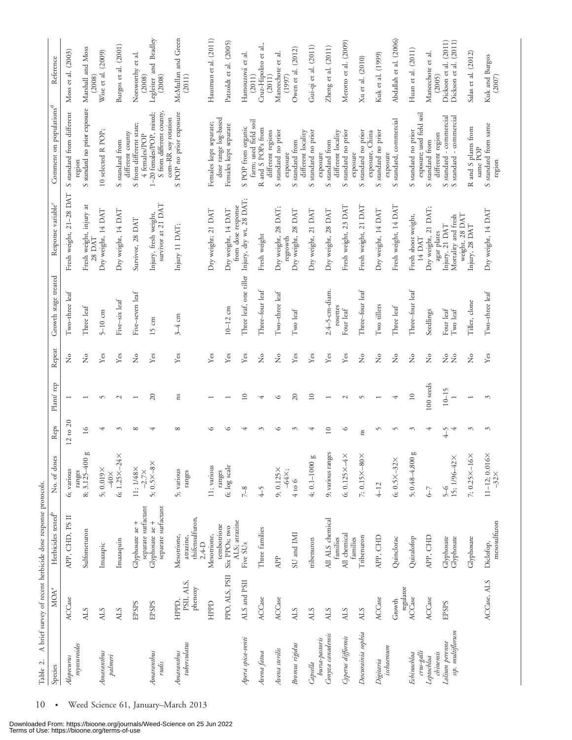| Table 2.                              |                                | A brief survey of recent herbicide dose response protocols. |                                           |                       |                 |                                |                            |                                                         |                                                                              |                                                |
|---------------------------------------|--------------------------------|-------------------------------------------------------------|-------------------------------------------|-----------------------|-----------------|--------------------------------|----------------------------|---------------------------------------------------------|------------------------------------------------------------------------------|------------------------------------------------|
| Species                               | $MOA^a$                        | Herbicides tested <sup>b</sup>                              | No. of doses                              | Reps                  | Plant/rep       | Repeat                         | Growth stage treated       | Response variable <sup>c</sup>                          | Comment on populations <sup>d</sup>                                          | Reference                                      |
| Alopecurus                            | <b>ACCase</b>                  | APP, CHD, PS II                                             | 6; various                                | $12$ to $20$          |                 | $\overline{\mathsf{z}}$        | Two-three leaf             | Fresh weight, 21-28 DAT                                 | S standard from different                                                    | Moss et al. (2003)                             |
| myosuroides                           | ALS                            | Sulfometuron                                                | 8; 3.125-400<br>ranges                    | 16                    |                 | $\frac{1}{2}$                  | Three leaf                 | Fresh weight, injury at<br>28 DAT                       | S standard no prior exposure<br>region                                       | Marshall and Moss<br>(2008)                    |
| Amaranthus<br>palmeri                 | ALS                            | Imazapic                                                    | 5; 0.019×<br>$-40\times$                  | 4                     | $\sim$          | Yes                            | $5-10$ cm                  | Dry weight, 14 DAT                                      | 10 selected R POP;                                                           | Wise et al. (2009)                             |
|                                       | ALS                            | Imazaquin                                                   | $6; 1.25 \times -24 \times$               | 3                     | $\mathcal{L}$   | Yes                            | Five-six leaf              | Dry weight, 14 DAT                                      | different county<br>S standard from                                          | Burgos et al. (2001)                           |
|                                       | <b>EPSPS</b>                   | separate surfactant<br>Glyphosate ae +                      | 11; $1/48 \times$<br>$-2.7\times$         | $\infty$              |                 | $\mathsf{S}^{\mathsf{o}}$      | Five-seven leaf            | Survivor, 28 DAT                                        | S from different state;<br>4 females/POP                                     | Norsworthy et al.<br>(2008)                    |
| Amaranthus<br>rudis                   | <b>EPSPS</b>                   | separate surfactant<br>Glyphosate ae +                      | 5; $0.5 \times -8 \times$                 | પ                     | 20              | Yes                            | $\epsilon$<br>$15 \,$      | survivor at 21 DAT<br>Injury, fresh weight,             | S from different county,<br>1-20 females/POP, mixed;<br>corn-RR soy rotation | Legleiter and Bradley<br>(2008)                |
| tuberculatus<br>Amaranthus            | PSII, ALS,<br>phenoxy<br>HPPD, | thifensulfuron,<br>Mesotrione,<br>atrazine,<br>$2,4-D$      | 5; various<br>ranges                      | $\infty$              | ns              | Yes                            | $3-4$ cm                   | Injury 11 DAT;                                          | S POP no prior exposure                                                      | McMullan and Green<br>(2011)                   |
|                                       | HPPD                           | tembotrione<br>Mesotrione,                                  | 11; various<br>ranges                     | $\circ$               |                 | Yes                            |                            | Dry weight; 21 DAT                                      | dose range log-based<br>Females kept separate;                               | Hausman et al. (2011)                          |
|                                       | PPO, ALS, PSII                 | ALS; atrazine<br>Six PPOs; two                              | 6; log scale                              | ৩                     |                 | Yes                            | $10 - 12$ cm               | from dose response<br>Dry weight, 14 DAT                | Females kept separate                                                        | Patzoldt et al. (2005)                         |
| Apera spica-venti                     | ALS and PSII                   | Five SU <sub>s</sub>                                        | $7 - 8$                                   | 4                     | 10              | Yes                            |                            | Three leaf, one tiller Injury, dry wt, 28 DAT;          | farm; used field soil<br>S POP from organic                                  | Hamouzová et al.<br>(2011)                     |
| Avena fatua                           | <b>ACCase</b>                  | Three families                                              | $4-5$                                     | $\sim$                | 4               | $\frac{1}{2}$                  | Three-four leaf            | Fresh weight                                            | and S POPs from<br>different regions<br>$\approx$                            | Cruz-Hipolito et al.,<br>(2011)                |
| Avena sterilis                        | <b>ACCase</b>                  | APP                                                         | 9; $0.125 \times$<br>$-64\times;$         | ৩                     | $\circ$         | $\mathsf{S}^{\mathsf{o}}$      | Two-three leaf             | Dry weight, 28 DAT;                                     | S standard no prior                                                          | Maneechote et al.<br>(1997)                    |
| Bromus rigidus                        | ALS                            | SU and IMI                                                  | $4 \text{ to } 6$                         | S                     | $20\,$          | Yes                            | Two leaf                   | Dry weight, 28 DAT<br>regrowth                          | different locality<br>S standard from<br>exposure                            | Owen et al. (2012)                             |
| Capsella                              | ALS                            | tribenuron                                                  | 4; 0.1-1000 g                             | 4                     | $\overline{10}$ | Yes                            |                            | Dry weight, 21 DAT                                      | standard no prior<br>S                                                       | Gui-qi et al. (2011)                           |
| Conyza canadensis<br>bursa-pastoris   | ALS                            | All ALS chemical<br>families                                | 9; various ranges                         | $\overline{10}$       | $\overline{ }$  | Yes                            | 2.4-5-cm-diam.<br>rosettes | Dry weight, 28 DAT                                      | different locality<br>standard from<br>exposure<br>$\infty$                  | Zheng et al. $(2011)$                          |
| Cyperus difformis                     | <b>ALS</b>                     | All chemical                                                | 6; $0.125 \times -4 \times$               | $\circ$               | $\sim$          | Yes                            | Four leaf                  | Fresh weight, 23 DAT                                    | standard no prior<br>$\mathcal{S}$                                           | Merotto et al. (2009)                          |
| Descurainia sophia                    | ALS                            | Tribenuron<br>families                                      | 7; $0.15 \times -80 \times$               | ns                    | $\sim$          | $\mathcal{L}^{\circ}$          | Three-four leaf            | Fresh weight, 21 DAT                                    | standard no prior<br>exposure<br>S                                           | Xu et al. (2010)                               |
| Digitaria                             | <b>ACCase</b>                  | APP, CHD                                                    | $4-12$                                    | $\sqrt{2}$            | $\overline{ }$  | $\tilde{z}$                    | Two tillers                | Dry weight, 14 DAT                                      | S standard no prior<br>exposure, China                                       | Kuk et al. (1999)                              |
| ischaemum                             | ${\rm Growth}$                 | Quinclorac                                                  | 6; $0.5 \times -32 \times$                | $\sim$                | 4               | $\stackrel{\circ}{\mathbf{Z}}$ | Three leaf                 | Fresh weight, 14 DAT                                    | S standard, commercial<br>exposure                                           | Abdallah et al. (2006)                         |
| Echinochloa                           | regulator<br>ACCase            | Quizalofop                                                  | 6.<br>$5:0.48 - 4.800$                    | $\tilde{\phantom{0}}$ | $10$            | $\tilde{z}$                    | Three–four leaf            | Fresh shoot weight,                                     | S standard no prior                                                          | Huan et al. (2011)                             |
| chinensis<br>crus-galli<br>Leptochloa | <b>ACCase</b>                  | APP, CHD                                                    | $6 - 7$                                   | 4                     | $100$ seeds     | $\mathop{S}\limits^{\circ}$    | Seedlings                  | Dry weight, 21 DAT;<br>agar plates<br>14 DAT            | exposure; used field soil<br>different region<br>standard from<br>S          | Manechote et al.<br>(2005)                     |
| ssp. multiflorum<br>Lolium perenne    | <b>EPSPS</b>                   | Glyphosate<br>Glyphosate                                    | 15; 1/96-42×<br>$6 - 6$                   | $rac{4}{4}$           | $10 - 15$       | ż<br>$\tilde{z}$               | Four leaf<br>Two leaf      | Mortality and fresh<br>weight, 28 DAT<br>Injury, 21 DAT | standard - commercial<br>standard - commercial<br>$\infty$                   | Dickson et al. (2011)<br>Dickson et al. (2011) |
|                                       |                                | Glyphosate                                                  | 7; $0.25 \times -16 \times$               | $\mathfrak{c}$        | $\overline{ }$  | $\stackrel{\circ}{\mathbf{Z}}$ | Tiller, clone              | Injury, 28 DAT                                          | and S plants from<br>same POP<br>$\approx$                                   | Salas et al. (2012)                            |
|                                       | ACCase, ALS                    | mesosulfuron<br>Diclofop,                                   | $11 - 12$ ; 0.016 $\times$<br>$-32\times$ | ξ                     | 3               | Yes                            | Two-three leaf             | Dry weight, 14 DAT                                      | S standard from same<br>region                                               | Kuk and Burgos<br>(2007)                       |

10 • Weed Science 61, January–March 2013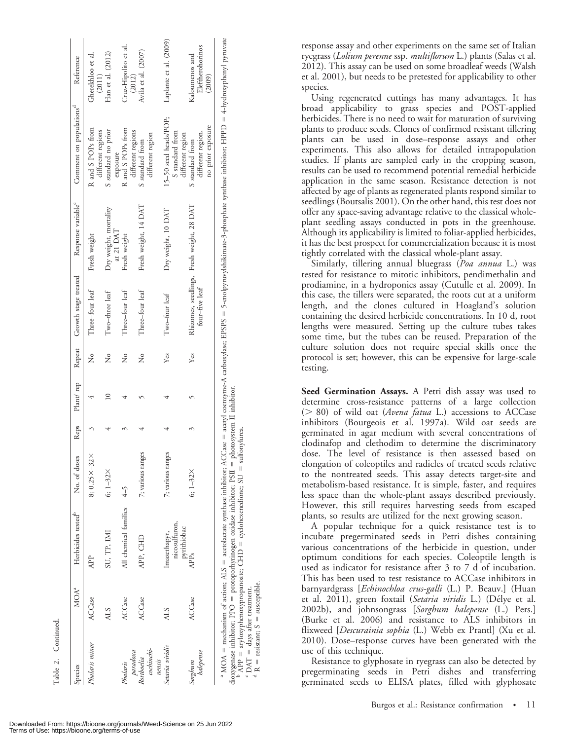| Species                            | MOA <sup>a</sup>                     | Herbicides rested <sup>b</sup>                                                                                                                                        | No. of doses             | Reps | Plant/rep                 |     | Repeat Growth stage treated | Response variable <sup>c</sup>            | Comment on populations <sup>d</sup>                                                                                                                                                                        | Reference                                    |
|------------------------------------|--------------------------------------|-----------------------------------------------------------------------------------------------------------------------------------------------------------------------|--------------------------|------|---------------------------|-----|-----------------------------|-------------------------------------------|------------------------------------------------------------------------------------------------------------------------------------------------------------------------------------------------------------|----------------------------------------------|
| Phalaris minor                     | ACCase                               | <b>APP</b>                                                                                                                                                            | $8:0.25\times -32\times$ |      |                           | ż   | Three–four leaf             | Fresh weight                              | R and S POPs from<br>different regions                                                                                                                                                                     | Gherekhloo et al.<br>(2011)                  |
|                                    | <b>ALS</b>                           | SU, TP, IMI                                                                                                                                                           | 6; $1 - 32$ $\times$     |      |                           | ż   | Two-three leaf              | Dry weight, mortality<br>at 21 DAT        | S standard no prior<br>exposure                                                                                                                                                                            | Han et al. (2012)                            |
| paradoxa<br>Phalaris               | ACCase                               | All chemical families 4-5                                                                                                                                             |                          |      | ₹                         | ż   | Three-four leaf             | Fresh weight                              | R and S POPs from<br>different regions                                                                                                                                                                     | Cruz-Hipolito et al.<br>(2012)               |
| cochinchi-<br>Rottboelia<br>nensis | <b>ACCase</b>                        | APP, CHD                                                                                                                                                              | 7; various ranges        |      |                           | ż   | Three–four leaf             | Fresh weight, 14 DAT                      | different region<br>S standard from                                                                                                                                                                        | Avila et al. (2007)                          |
| Setaria viridis                    | ALS                                  | nicosulturon,<br>pyrithiobac<br>Imazethapyr,                                                                                                                          | 7; various ranges        |      | 4                         | Yes | Two-four leaf               | Dry weight, 10 DAT                        | 15-50 seed heads/POP;<br>S standard from<br>different region                                                                                                                                               | Laplante et al. (2009)                       |
| halepense<br>Sorghum               | <b>ACCase</b>                        | <b>APP</b> <sub>s</sub>                                                                                                                                               | 6; $1 - 32$ $\times$     |      |                           | Yes | four-five leaf              | Rhizomes, seedlings, Fresh weight, 28 DAT | no prior exposure<br>different region,<br>S standard from                                                                                                                                                  | Eleftherohorinos<br>Kaloumenos and<br>(2009) |
|                                    | $\Omega$ DAT = days after treatment. | $\Delta PP = \alpha ry$ loxyphenoxypropanoate; CHD = cyclohexenedione; SU = sulfonylurea.<br>dioxygenase inhibitor; PPO = protoporhyrinogen oxidase inhibitor; PSII = |                          |      | photosystem II inhibitor. |     |                             |                                           | ª MOA = mechanism of action; ALS = acetolactate synthase inhibitor; ACCase = acetyl coenzyme-A carboxylase; EPSPS = 5-enolpyruvylshikimate-3-phosphate synthase inhibitor; HPPD = 4-hydroxyphenyl pyruvate |                                              |

days after treatment.

 $\frac{1}{R}$ 

resistant; S

susceptible.

response assay and other experiments on the same set of Italian ryegrass (Lolium perenne ssp. multiflorum L.) plants (Salas et al. 2012). This assay can be used on some broadleaf weeds (Walsh et al. 2001), but needs to be pretested for applicability to other species.

Using regenerated cuttings has many advantages. It has broad applicability to grass species and POST-applied herbicides. There is no need to wait for maturation of surviving plants to produce seeds. Clones of confirmed resistant tillering plants can be used in dose–response assays and other experiments. This also allows for detailed intrapopulation studies. If plants are sampled early in the cropping season, results can be used to recommend potential remedial herbicide application in the same season. Resistance detection is not affected by age of plants as regenerated plants respond similar to seedlings (Boutsalis 2001). On the other hand, this test does not offer any space-saving advantage relative to the classical wholeplant seedling assays conducted in pots in the greenhouse. Although its applicability is limited to foliar-applied herbicides, it has the best prospect for commercialization because it is most tightly correlated with the classical whole-plant assay.

Similarly, tillering annual bluegrass (Poa annua L.) was tested for resistance to mitotic inhibitors, pendimethalin and prodiamine, in a hydroponics assay (Cutulle et al. 2009). In this case, the tillers were separated, the roots cut at a uniform length, and the clones cultured in Hoagland's solution containing the desired herbicide concentrations. In 10 d, root lengths were measured. Setting up the culture tubes takes some time, but the tubes can be reused. Preparation of the culture solution does not require special skills once the protocol is set; however, this can be expensive for large-scale testing.

Seed Germination Assays. A Petri dish assay was used to determine cross-resistance patterns of a large collection ( $> 80$ ) of wild oat (Avena fatua L.) accessions to ACCase inhibitors (Bourgeois et al. 1997a). Wild oat seeds are germinated in agar medium with several concentrations of clodinafop and clethodim to determine the discriminatory dose. The level of resistance is then assessed based on elongation of coleoptiles and radicles of treated seeds relative to the nontreated seeds. This assay detects target-site and metabolism-based resistance. It is simple, faster, and requires less space than the whole-plant assays described previously. However, this still requires harvesting seeds from escaped plants, so results are utilized for the next growing season.

A popular technique for a quick resistance test is to incubate pregerminated seeds in Petri dishes containing various concentrations of the herbicide in question, under optimum conditions for each species. Coleoptile length is used as indicator for resistance after 3 to 7 d of incubation. This has been used to test resistance to ACCase inhibitors in barnyardgrass [Echinochloa crus-galli (L.) P. Beauv.] (Huan et al. 2011), green foxtail (Setaria viridis L.) (Délye et al. 2002b), and johnsongrass [Sorghum halepense (L.) Pers.] (Burke et al. 2006) and resistance to ALS inhibitors in flixweed [Descurainia sophia (L.) Webb ex Prantl] (Xu et al. 2010). Dose–response curves have been generated with the use of this technique.

Resistance to glyphosate in ryegrass can also be detected by pregerminating seeds in Petri dishes and transferring germinated seeds to ELISA plates, filled with glyphosate

Table 2. Continued.

Table 2. Continued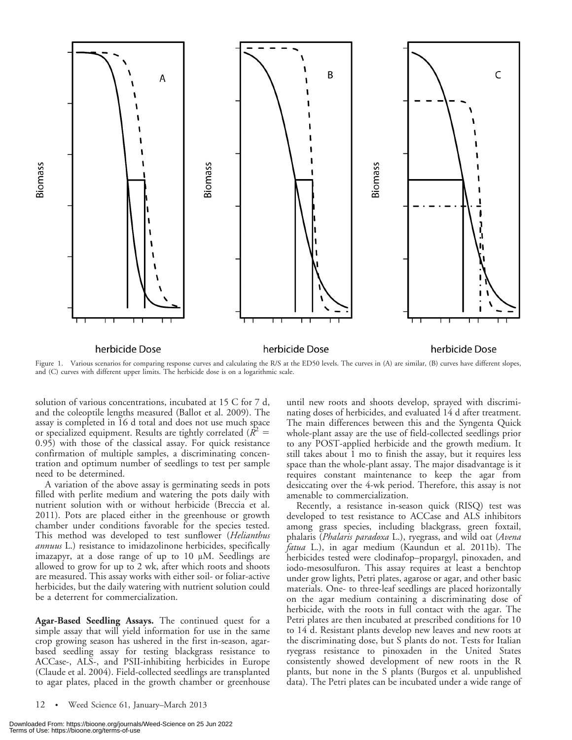

Figure 1. Various scenarios for comparing response curves and calculating the R/S at the ED50 levels. The curves in (A) are similar, (B) curves have different slopes, and (C) curves with different upper limits. The herbicide dose is on a logarithmic scale.

solution of various concentrations, incubated at 15 C for 7 d, and the coleoptile lengths measured (Ballot et al. 2009). The assay is completed in 16 d total and does not use much space or specialized equipment. Results are tightly correlated ( $\overline{R}^2$  = 0.95) with those of the classical assay. For quick resistance confirmation of multiple samples, a discriminating concentration and optimum number of seedlings to test per sample need to be determined.

A variation of the above assay is germinating seeds in pots filled with perlite medium and watering the pots daily with nutrient solution with or without herbicide (Breccia et al. 2011). Pots are placed either in the greenhouse or growth chamber under conditions favorable for the species tested. This method was developed to test sunflower (Helianthus annuus L.) resistance to imidazolinone herbicides, specifically imazapyr, at a dose range of up to  $10 \mu M$ . Seedlings are allowed to grow for up to 2 wk, after which roots and shoots are measured. This assay works with either soil- or foliar-active herbicides, but the daily watering with nutrient solution could be a deterrent for commercialization.

Agar-Based Seedling Assays. The continued quest for a simple assay that will yield information for use in the same crop growing season has ushered in the first in-season, agarbased seedling assay for testing blackgrass resistance to ACCase-, ALS-, and PSII-inhibiting herbicides in Europe (Claude et al. 2004). Field-collected seedlings are transplanted to agar plates, placed in the growth chamber or greenhouse until new roots and shoots develop, sprayed with discriminating doses of herbicides, and evaluated 14 d after treatment. The main differences between this and the Syngenta Quick whole-plant assay are the use of field-collected seedlings prior to any POST-applied herbicide and the growth medium. It still takes about 1 mo to finish the assay, but it requires less space than the whole-plant assay. The major disadvantage is it requires constant maintenance to keep the agar from desiccating over the 4-wk period. Therefore, this assay is not amenable to commercialization.

Recently, a resistance in-season quick (RISQ) test was developed to test resistance to ACCase and ALS inhibitors among grass species, including blackgrass, green foxtail, phalaris (Phalaris paradoxa L.), ryegrass, and wild oat (Avena fatua L.), in agar medium (Kaundun et al. 2011b). The herbicides tested were clodinafop–propargyl, pinoxaden, and iodo-mesosulfuron. This assay requires at least a benchtop under grow lights, Petri plates, agarose or agar, and other basic materials. One- to three-leaf seedlings are placed horizontally on the agar medium containing a discriminating dose of herbicide, with the roots in full contact with the agar. The Petri plates are then incubated at prescribed conditions for 10 to 14 d. Resistant plants develop new leaves and new roots at the discriminating dose, but S plants do not. Tests for Italian ryegrass resistance to pinoxaden in the United States consistently showed development of new roots in the R plants, but none in the S plants (Burgos et al. unpublished data). The Petri plates can be incubated under a wide range of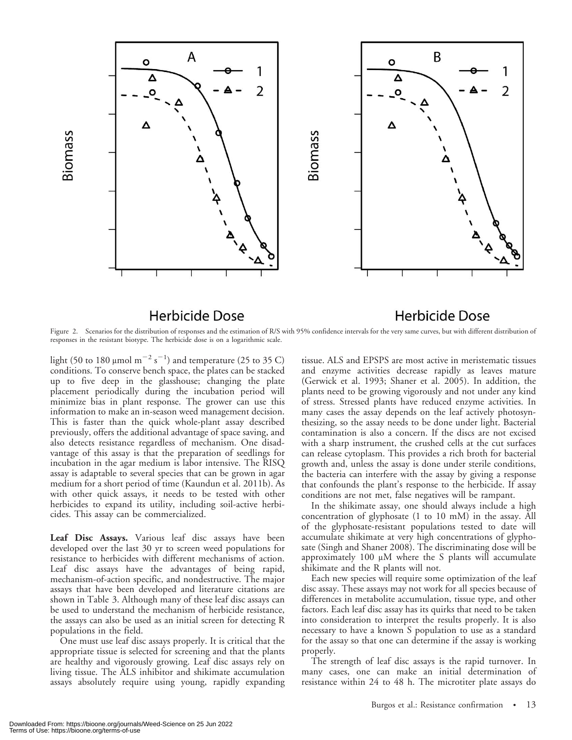

# Herbicide Dose

Herbicide Dose

Figure 2. Scenarios for the distribution of responses and the estimation of R/S with 95% confidence intervals for the very same curves, but with different distribution of responses in the resistant biotype. The herbicide dose is on a logarithmic scale.

light (50 to 180 µmol m $^{-2}$  s $^{-1}$ ) and temperature (25 to 35 C) conditions. To conserve bench space, the plates can be stacked up to five deep in the glasshouse; changing the plate placement periodically during the incubation period will minimize bias in plant response. The grower can use this information to make an in-season weed management decision. This is faster than the quick whole-plant assay described previously, offers the additional advantage of space saving, and also detects resistance regardless of mechanism. One disadvantage of this assay is that the preparation of seedlings for incubation in the agar medium is labor intensive. The RISQ assay is adaptable to several species that can be grown in agar medium for a short period of time (Kaundun et al. 2011b). As with other quick assays, it needs to be tested with other herbicides to expand its utility, including soil-active herbicides. This assay can be commercialized.

Leaf Disc Assays. Various leaf disc assays have been developed over the last 30 yr to screen weed populations for resistance to herbicides with different mechanisms of action. Leaf disc assays have the advantages of being rapid, mechanism-of-action specific, and nondestructive. The major assays that have been developed and literature citations are shown in Table 3. Although many of these leaf disc assays can be used to understand the mechanism of herbicide resistance, the assays can also be used as an initial screen for detecting R populations in the field.

One must use leaf disc assays properly. It is critical that the appropriate tissue is selected for screening and that the plants are healthy and vigorously growing. Leaf disc assays rely on living tissue. The ALS inhibitor and shikimate accumulation assays absolutely require using young, rapidly expanding

tissue. ALS and EPSPS are most active in meristematic tissues and enzyme activities decrease rapidly as leaves mature (Gerwick et al. 1993; Shaner et al. 2005). In addition, the plants need to be growing vigorously and not under any kind of stress. Stressed plants have reduced enzyme activities. In many cases the assay depends on the leaf actively photosynthesizing, so the assay needs to be done under light. Bacterial contamination is also a concern. If the discs are not excised with a sharp instrument, the crushed cells at the cut surfaces can release cytoplasm. This provides a rich broth for bacterial growth and, unless the assay is done under sterile conditions, the bacteria can interfere with the assay by giving a response that confounds the plant's response to the herbicide. If assay conditions are not met, false negatives will be rampant.

In the shikimate assay, one should always include a high concentration of glyphosate (1 to 10 mM) in the assay. All of the glyphosate-resistant populations tested to date will accumulate shikimate at very high concentrations of glyphosate (Singh and Shaner 2008). The discriminating dose will be approximately 100  $\mu$ M where the S plants will accumulate shikimate and the R plants will not.

Each new species will require some optimization of the leaf disc assay. These assays may not work for all species because of differences in metabolite accumulation, tissue type, and other factors. Each leaf disc assay has its quirks that need to be taken into consideration to interpret the results properly. It is also necessary to have a known S population to use as a standard for the assay so that one can determine if the assay is working properly.

The strength of leaf disc assays is the rapid turnover. In many cases, one can make an initial determination of resistance within 24 to 48 h. The microtiter plate assays do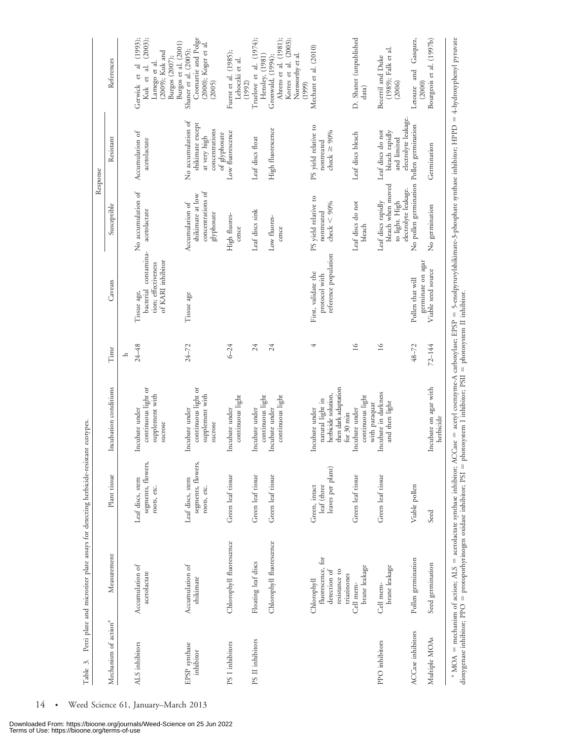| Mechanism of action <sup>a</sup><br>ALS inhibitors | Measurement                                                       |                                                       |                                                                                                   |              |                                                                                 | Response                                                                          |                                                                                           |                                                                                                                                 |
|----------------------------------------------------|-------------------------------------------------------------------|-------------------------------------------------------|---------------------------------------------------------------------------------------------------|--------------|---------------------------------------------------------------------------------|-----------------------------------------------------------------------------------|-------------------------------------------------------------------------------------------|---------------------------------------------------------------------------------------------------------------------------------|
|                                                    |                                                                   | Plant tissue                                          | Incubation conditions                                                                             | Time         | Caveats                                                                         | Susceptible                                                                       | Resistant                                                                                 | References                                                                                                                      |
|                                                    |                                                                   |                                                       |                                                                                                   | $\mathbf{r}$ |                                                                                 |                                                                                   |                                                                                           |                                                                                                                                 |
|                                                    | Accumulation of<br>acetolactate                                   | segments, flowers,<br>Leaf discs, stem<br>roots, etc. | continuous light or<br>supplement with<br>Incubate under<br>sucrose                               | $24 - 48$    | bacterial contamina-<br>of KARI inhibitor<br>tion; effectiveness<br>Tissue age, | No accumulation of<br>acetolactate                                                | Accumulation of<br>acetolactate                                                           | (1993);<br>(2003);<br>Burgos et al. (2001)<br>(2009); Kuk and<br>Burgos (2007);<br>Lamego et al.<br>Kuk et al.<br>Gerwick et al |
| EPSP synthase<br>inhibitor                         | Accumulation of<br>shikimate                                      | segments, flowers,<br>Leaf discs, stem<br>roots, etc. | continuous light or<br>supplement with<br>Incubate under<br>sucrose                               | $24 - 72$    | Tissue age                                                                      | concentrations of<br>shikimate at low<br>Accumulation of<br>glyphosate            | No accumulation of<br>shikimate except<br>concentrations<br>of glyphosate<br>at very high | Cromartie and Polge<br>(2000); Koger et al.<br>Shaner et al. (2005);<br>(2005)                                                  |
| PS I inhibitors                                    | Chlorophyll fluorescence                                          | Green leaf tissue                                     | continuous light<br>Incubate under                                                                | $6 - 24$     |                                                                                 | High fluores-<br>cence                                                            | Low fluorescence                                                                          | Fuerst et al. (1985);<br>Lehoczki et al.<br>(1992)                                                                              |
| PS II inhibitors                                   | Floating leaf discs                                               | Green leaf tissue                                     | continuous light<br>Incubate under                                                                | 24           |                                                                                 | Leaf discs sink                                                                   | Leaf discs float                                                                          | Truelove et al. (1974);<br>Hensley, (1981)                                                                                      |
|                                                    | Chlorophyll fluorescence                                          | Green leaf tissue                                     | continuous light<br>Incubate under                                                                | 24           |                                                                                 | Low fluores-<br>cence                                                             | High fluorescence                                                                         | Ahrens et al. (1981);<br>Korres et al. (2003);<br>Norsworthy et al.<br>Gronwald, (1994);<br>(1999)                              |
| Chlorophyll                                        | fluorescence, for<br>resistance to<br>detection of<br>triazinones | leaves per plant)<br>Green, intact<br>leaf (three     | then dark adaptation<br>herbicide solution,<br>natural light in<br>Incubate under<br>for $30$ min | 4            | reference population<br>First, validate the<br>protocol with                    | PS yield relative to<br>check $<$ 90%<br>nontreated                               | PS yield relative to<br>check $\geq 90\%$<br>nontreated                                   | Mechant et al. (2010)                                                                                                           |
| Cell mem-                                          | brane leakage                                                     | Green leaf tissue                                     | continuous light<br>with paraquat<br>Incubate under                                               | 16           |                                                                                 | Leaf discs do not<br>bleach                                                       | Leaf discs bleach                                                                         | D. Shaner (unpublished<br>data)                                                                                                 |
| Cell mem-<br>PPO inhibitors                        | brane leakage                                                     | Green leaf tissue                                     | Incubate in darkness<br>and then light                                                            | 16           |                                                                                 | bleach when moved<br>electrolyte leakage.<br>Leaf discs rapidly<br>to light. High | electrolyte leakage.<br>Leaf discs do not<br>bleach rapidly<br>and limited                | (1989); Falk et al.<br>Becerril and Duke<br>(2006)                                                                              |
| ACCase inhibitors                                  | Pollen germination                                                | Viable pollen                                         |                                                                                                   | $48 - 72$    | germinate on agar<br>Pollen that will                                           | No pollen germination Pollen germination                                          |                                                                                           | Letouze and Gasquez,<br>(2000)                                                                                                  |
| Multiple MOAs                                      | Seed germination                                                  | Seed                                                  | Incubate on agar with<br>herbicide                                                                | 72-144       | Viable seed source                                                              | No germination                                                                    | Germination                                                                               | Bourgeois et al. (1997b)                                                                                                        |

° MOA = mechanism of action; ALS = acetolactate synthase inhibitor; ACCase = acetyl coenzyme-A carboxylase; EPSP = 5-enolpyruvylshikimate-3-phosphate synthase inhibitor; HPPD = 4-hydroxyphenyl pyruvate<br>dioxygenase inhibit MOA 5 mechanism of action; ALS 5 acetolactate synthase inhibitor; ACCase 5 acetyl coenzyme-A carboxylase; EPSP 5 5-enolpyruvylshikimate-3-phosphate synthase inhibitor; HPPD 5 4-hydroxyphenyl pyruvate dioxygenase inhibitor; PPO 5 protoporhyrinogen oxidase inhibitor; PSI 5 photosystem I inhibitor; PSII 5 photosystem II inhibitor.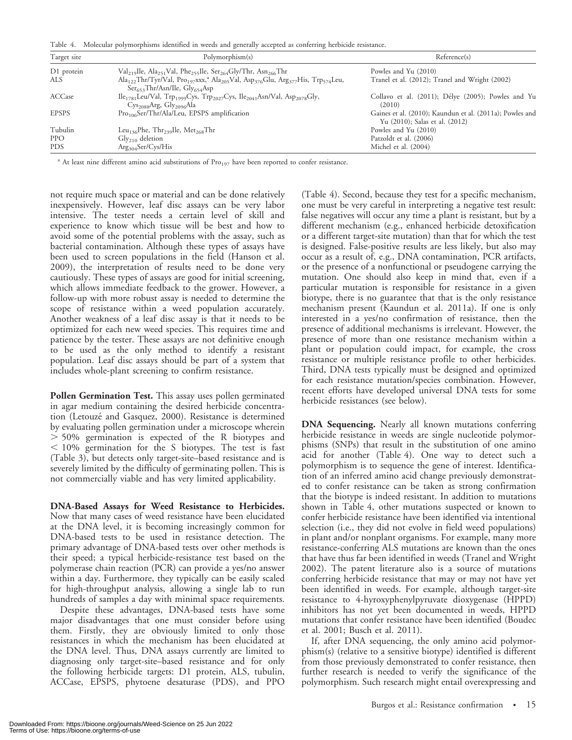Table 4. Molecular polymorphisms identified in weeds and generally accepted as conferring herbicide resistance.

| Target site  | Polymorphism(s)                                                                                                                                                                                        | Reference(s)                                                                               |
|--------------|--------------------------------------------------------------------------------------------------------------------------------------------------------------------------------------------------------|--------------------------------------------------------------------------------------------|
| D1 protein   | Val <sub>219</sub> Ile, Ala <sub>251</sub> Val, Phe <sub>255</sub> Ile, Ser <sub>264</sub> Gly/Thr, Asn <sub>266</sub> Thr                                                                             | Powles and Yu (2010)                                                                       |
| ALS          | Ala <sub>122</sub> Thr/Tyr/Val, Pro <sub>197</sub> xxx, <sup>a</sup> Ala <sub>205</sub> Val, Asp <sub>376</sub> Glu, Arg <sub>377</sub> His, Trp <sub>574</sub> Leu,<br>$Ser653Thr/Asn/Ile, Gly654Asp$ | Tranel et al. (2012); Tranel and Wright (2002)                                             |
| ACCase       | $I$ le <sub>1781</sub> Leu/Val, Trp <sub>1999</sub> Cys, Trp <sub>2027</sub> Cys, $I$ le <sub>2041</sub> Asn/Val, Asp <sub>2078</sub> Gly,<br>$Cys2088Arg, Gly2096Ala$                                 | Collavo et al. (2011); Délye (2005); Powles and Yu<br>(2010)                               |
| <b>EPSPS</b> | Pro <sub>106</sub> Ser/Thr/Ala/Leu, EPSPS amplification                                                                                                                                                | Gaines et al. (2010); Kaundun et al. (2011a); Powles and<br>Yu (2010); Salas et al. (2012) |
| Tubulin      | Leu <sub>136</sub> Phe, Thr <sub>239</sub> Ile, Met <sub>268</sub> Thr                                                                                                                                 | Powles and Yu (2010)                                                                       |
| <b>PPO</b>   | $\mathrm{Gly}_{210}$ deletion                                                                                                                                                                          | Patzoldt et al. (2006)                                                                     |
| <b>PDS</b>   | $Arg_{304}Ser/Cys/His$                                                                                                                                                                                 | Michel et al. (2004)                                                                       |

<sup>a</sup> At least nine different amino acid substitutions of  $Pro_{197}$  have been reported to confer resistance.

not require much space or material and can be done relatively inexpensively. However, leaf disc assays can be very labor intensive. The tester needs a certain level of skill and experience to know which tissue will be best and how to avoid some of the potential problems with the assay, such as bacterial contamination. Although these types of assays have been used to screen populations in the field (Hanson et al. 2009), the interpretation of results need to be done very cautiously. These types of assays are good for initial screening, which allows immediate feedback to the grower. However, a follow-up with more robust assay is needed to determine the scope of resistance within a weed population accurately. Another weakness of a leaf disc assay is that it needs to be optimized for each new weed species. This requires time and patience by the tester. These assays are not definitive enough to be used as the only method to identify a resistant population. Leaf disc assays should be part of a system that includes whole-plant screening to confirm resistance.

Pollen Germination Test. This assay uses pollen germinated in agar medium containing the desired herbicide concentration (Letouzé and Gasquez, 2000). Resistance is determined by evaluating pollen germination under a microscope wherein  $> 50\%$  germination is expected of the R biotypes and  $<$  10% germination for the S biotypes. The test is fast (Table 3), but detects only target-site–based resistance and is severely limited by the difficulty of germinating pollen. This is not commercially viable and has very limited applicability.

DNA-Based Assays for Weed Resistance to Herbicides. Now that many cases of weed resistance have been elucidated at the DNA level, it is becoming increasingly common for DNA-based tests to be used in resistance detection. The primary advantage of DNA-based tests over other methods is their speed; a typical herbicide-resistance test based on the polymerase chain reaction (PCR) can provide a yes/no answer within a day. Furthermore, they typically can be easily scaled for high-throughput analysis, allowing a single lab to run hundreds of samples a day with minimal space requirements.

Despite these advantages, DNA-based tests have some major disadvantages that one must consider before using them. Firstly, they are obviously limited to only those resistances in which the mechanism has been elucidated at the DNA level. Thus, DNA assays currently are limited to diagnosing only target-site–based resistance and for only the following herbicide targets: D1 protein, ALS, tubulin, ACCase, EPSPS, phytoene desaturase (PDS), and PPO (Table 4). Second, because they test for a specific mechanism, one must be very careful in interpreting a negative test result: false negatives will occur any time a plant is resistant, but by a different mechanism (e.g., enhanced herbicide detoxification or a different target-site mutation) than that for which the test is designed. False-positive results are less likely, but also may occur as a result of, e.g., DNA contamination, PCR artifacts, or the presence of a nonfunctional or pseudogene carrying the mutation. One should also keep in mind that, even if a particular mutation is responsible for resistance in a given biotype, there is no guarantee that that is the only resistance mechanism present (Kaundun et al. 2011a). If one is only interested in a yes/no confirmation of resistance, then the presence of additional mechanisms is irrelevant. However, the presence of more than one resistance mechanism within a plant or population could impact, for example, the cross resistance or multiple resistance profile to other herbicides. Third, DNA tests typically must be designed and optimized for each resistance mutation/species combination. However, recent efforts have developed universal DNA tests for some herbicide resistances (see below).

DNA Sequencing. Nearly all known mutations conferring herbicide resistance in weeds are single nucleotide polymorphisms (SNPs) that result in the substitution of one amino acid for another (Table 4). One way to detect such a polymorphism is to sequence the gene of interest. Identification of an inferred amino acid change previously demonstrated to confer resistance can be taken as strong confirmation that the biotype is indeed resistant. In addition to mutations shown in Table 4, other mutations suspected or known to confer herbicide resistance have been identified via intentional selection (i.e., they did not evolve in field weed populations) in plant and/or nonplant organisms. For example, many more resistance-conferring ALS mutations are known than the ones that have thus far been identified in weeds (Tranel and Wright 2002). The patent literature also is a source of mutations conferring herbicide resistance that may or may not have yet been identified in weeds. For example, although target-site resistance to 4-hyroxyphenylpyruvate dioxygenase (HPPD) inhibitors has not yet been documented in weeds, HPPD mutations that confer resistance have been identified (Boudec et al. 2001; Busch et al. 2011).

If, after DNA sequencing, the only amino acid polymorphism(s) (relative to a sensitive biotype) identified is different from those previously demonstrated to confer resistance, then further research is needed to verify the significance of the polymorphism. Such research might entail overexpressing and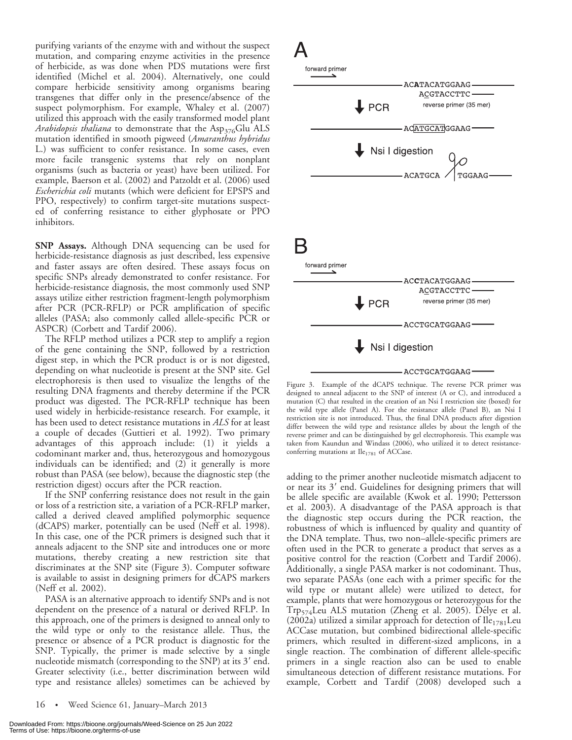purifying variants of the enzyme with and without the suspect mutation, and comparing enzyme activities in the presence of herbicide, as was done when PDS mutations were first identified (Michel et al. 2004). Alternatively, one could compare herbicide sensitivity among organisms bearing transgenes that differ only in the presence/absence of the suspect polymorphism. For example, Whaley et al. (2007) utilized this approach with the easily transformed model plant Arabidopsis thaliana to demonstrate that the Asp $_{376}$ Glu ALS mutation identified in smooth pigweed (Amaranthus hybridus L.) was sufficient to confer resistance. In some cases, even more facile transgenic systems that rely on nonplant organisms (such as bacteria or yeast) have been utilized. For example, Baerson et al. (2002) and Patzoldt et al. (2006) used Escherichia coli mutants (which were deficient for EPSPS and PPO, respectively) to confirm target-site mutations suspected of conferring resistance to either glyphosate or PPO inhibitors.

SNP Assays. Although DNA sequencing can be used for herbicide-resistance diagnosis as just described, less expensive and faster assays are often desired. These assays focus on specific SNPs already demonstrated to confer resistance. For herbicide-resistance diagnosis, the most commonly used SNP assays utilize either restriction fragment-length polymorphism after PCR (PCR-RFLP) or PCR amplification of specific alleles (PASA; also commonly called allele-specific PCR or ASPCR) (Corbett and Tardif 2006).

The RFLP method utilizes a PCR step to amplify a region of the gene containing the SNP, followed by a restriction digest step, in which the PCR product is or is not digested, depending on what nucleotide is present at the SNP site. Gel electrophoresis is then used to visualize the lengths of the resulting DNA fragments and thereby determine if the PCR product was digested. The PCR-RFLP technique has been used widely in herbicide-resistance research. For example, it has been used to detect resistance mutations in ALS for at least a couple of decades (Guttieri et al. 1992). Two primary advantages of this approach include: (1) it yields a codominant marker and, thus, heterozygous and homozygous individuals can be identified; and (2) it generally is more robust than PASA (see below), because the diagnostic step (the restriction digest) occurs after the PCR reaction.

If the SNP conferring resistance does not result in the gain or loss of a restriction site, a variation of a PCR-RFLP marker, called a derived cleaved amplified polymorphic sequence (dCAPS) marker, potentially can be used (Neff et al. 1998). In this case, one of the PCR primers is designed such that it anneals adjacent to the SNP site and introduces one or more mutations, thereby creating a new restriction site that discriminates at the SNP site (Figure 3). Computer software is available to assist in designing primers for dCAPS markers (Neff et al. 2002).

PASA is an alternative approach to identify SNPs and is not dependent on the presence of a natural or derived RFLP. In this approach, one of the primers is designed to anneal only to the wild type or only to the resistance allele. Thus, the presence or absence of a PCR product is diagnostic for the SNP. Typically, the primer is made selective by a single nucleotide mismatch (corresponding to the SNP) at its  $3'$  end. Greater selectivity (i.e., better discrimination between wild type and resistance alleles) sometimes can be achieved by



Figure 3. Example of the dCAPS technique. The reverse PCR primer was designed to anneal adjacent to the SNP of interest (A or C), and introduced a mutation (C) that resulted in the creation of an Nsi I restriction site (boxed) for the wild type allele (Panel A). For the resistance allele (Panel B), an Nsi I restriction site is not introduced. Thus, the final DNA products after digestion differ between the wild type and resistance alleles by about the length of the reverse primer and can be distinguished by gel electrophoresis. This example was taken from Kaundun and Windass (2006), who utilized it to detect resistanceconferring mutations at Ile<sub>1781</sub> of ACCase.

adding to the primer another nucleotide mismatch adjacent to or near its 3' end. Guidelines for designing primers that will be allele specific are available (Kwok et al. 1990; Pettersson et al. 2003). A disadvantage of the PASA approach is that the diagnostic step occurs during the PCR reaction, the robustness of which is influenced by quality and quantity of the DNA template. Thus, two non–allele-specific primers are often used in the PCR to generate a product that serves as a positive control for the reaction (Corbett and Tardif 2006). Additionally, a single PASA marker is not codominant. Thus, two separate PASAs (one each with a primer specific for the wild type or mutant allele) were utilized to detect, for example, plants that were homozygous or heterozygous for the  $Trp_{574}$ Leu ALS mutation (Zheng et al. 2005). Délye et al. (2002a) utilized a similar approach for detection of  $Ile<sub>1781</sub>Leu$ ACCase mutation, but combined bidirectional allele-specific primers, which resulted in different-sized amplicons, in a single reaction. The combination of different allele-specific primers in a single reaction also can be used to enable simultaneous detection of different resistance mutations. For example, Corbett and Tardif (2008) developed such a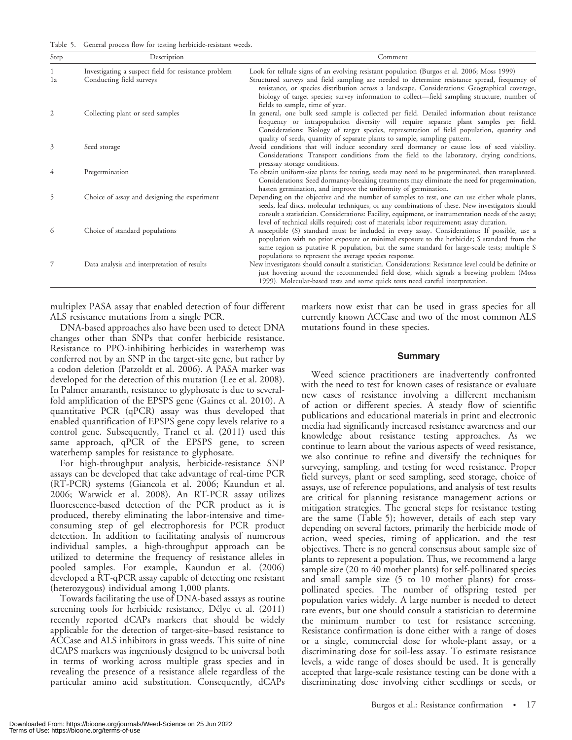|  |  |  |  | Table 5. General process flow for testing herbicide-resistant weeds. |  |
|--|--|--|--|----------------------------------------------------------------------|--|
|  |  |  |  |                                                                      |  |

| Step | Description                                                                      | Comment                                                                                                                                                                                                                                                                                                                                                                                                                           |
|------|----------------------------------------------------------------------------------|-----------------------------------------------------------------------------------------------------------------------------------------------------------------------------------------------------------------------------------------------------------------------------------------------------------------------------------------------------------------------------------------------------------------------------------|
| 1a   | Investigating a suspect field for resistance problem<br>Conducting field surveys | Look for telltale signs of an evolving resistant population (Burgos et al. 2006; Moss 1999)<br>Structured surveys and field sampling are needed to determine resistance spread, frequency of<br>resistance, or species distribution across a landscape. Considerations: Geographical coverage,<br>biology of target species; survey information to collect—field sampling structure, number of<br>fields to sample, time of year. |
| 2    | Collecting plant or seed samples                                                 | In general, one bulk seed sample is collected per field. Detailed information about resistance<br>frequency or intrapopulation diversity will require separate plant samples per field.<br>Considerations: Biology of target species, representation of field population, quantity and<br>quality of seeds, quantity of separate plants to sample, sampling pattern.                                                              |
| 3    | Seed storage                                                                     | Avoid conditions that will induce secondary seed dormancy or cause loss of seed viability.<br>Considerations: Transport conditions from the field to the laboratory, drying conditions,<br>preassay storage conditions.                                                                                                                                                                                                           |
| 4    | Pregermination                                                                   | To obtain uniform-size plants for testing, seeds may need to be pregerminated, then transplanted.<br>Considerations: Seed dormancy-breaking treatments may eliminate the need for pregermination,<br>hasten germination, and improve the uniformity of germination.                                                                                                                                                               |
| 5    | Choice of assay and designing the experiment                                     | Depending on the objective and the number of samples to test, one can use either whole plants,<br>seeds, leaf discs, molecular techniques, or any combinations of these. New investigators should<br>consult a statistician. Considerations: Facility, equipment, or instrumentation needs of the assay;<br>level of technical skills required; cost of materials; labor requirement; assay duration.                             |
| 6    | Choice of standard populations                                                   | A susceptible (S) standard must be included in every assay. Considerations: If possible, use a<br>population with no prior exposure or minimal exposure to the herbicide; S standard from the<br>same region as putative R population, but the same standard for large-scale tests; multiple S<br>populations to represent the average species response.                                                                          |
|      | Data analysis and interpretation of results                                      | New investigators should consult a statistician. Considerations: Resistance level could be definite or<br>just hovering around the recommended field dose, which signals a brewing problem (Moss<br>1999). Molecular-based tests and some quick tests need careful interpretation.                                                                                                                                                |

multiplex PASA assay that enabled detection of four different ALS resistance mutations from a single PCR.

DNA-based approaches also have been used to detect DNA changes other than SNPs that confer herbicide resistance. Resistance to PPO-inhibiting herbicides in waterhemp was conferred not by an SNP in the target-site gene, but rather by a codon deletion (Patzoldt et al. 2006). A PASA marker was developed for the detection of this mutation (Lee et al. 2008). In Palmer amaranth, resistance to glyphosate is due to severalfold amplification of the EPSPS gene (Gaines et al. 2010). A quantitative PCR (qPCR) assay was thus developed that enabled quantification of EPSPS gene copy levels relative to a control gene. Subsequently, Tranel et al. (2011) used this same approach, qPCR of the EPSPS gene, to screen waterhemp samples for resistance to glyphosate.

For high-throughput analysis, herbicide-resistance SNP assays can be developed that take advantage of real-time PCR (RT-PCR) systems (Giancola et al. 2006; Kaundun et al. 2006; Warwick et al. 2008). An RT-PCR assay utilizes fluorescence-based detection of the PCR product as it is produced, thereby eliminating the labor-intensive and timeconsuming step of gel electrophoresis for PCR product detection. In addition to facilitating analysis of numerous individual samples, a high-throughput approach can be utilized to determine the frequency of resistance alleles in pooled samples. For example, Kaundun et al. (2006) developed a RT-qPCR assay capable of detecting one resistant (heterozygous) individual among 1,000 plants.

Towards facilitating the use of DNA-based assays as routine screening tools for herbicide resistance, Délye et al. (2011) recently reported dCAPs markers that should be widely applicable for the detection of target-site–based resistance to ACCase and ALS inhibitors in grass weeds. This suite of nine dCAPS markers was ingeniously designed to be universal both in terms of working across multiple grass species and in revealing the presence of a resistance allele regardless of the particular amino acid substitution. Consequently, dCAPs markers now exist that can be used in grass species for all currently known ACCase and two of the most common ALS mutations found in these species.

#### Summary

Weed science practitioners are inadvertently confronted with the need to test for known cases of resistance or evaluate new cases of resistance involving a different mechanism of action or different species. A steady flow of scientific publications and educational materials in print and electronic media had significantly increased resistance awareness and our knowledge about resistance testing approaches. As we continue to learn about the various aspects of weed resistance, we also continue to refine and diversify the techniques for surveying, sampling, and testing for weed resistance. Proper field surveys, plant or seed sampling, seed storage, choice of assays, use of reference populations, and analysis of test results are critical for planning resistance management actions or mitigation strategies. The general steps for resistance testing are the same (Table 5); however, details of each step vary depending on several factors, primarily the herbicide mode of action, weed species, timing of application, and the test objectives. There is no general consensus about sample size of plants to represent a population. Thus, we recommend a large sample size (20 to 40 mother plants) for self-pollinated species and small sample size (5 to 10 mother plants) for crosspollinated species. The number of offspring tested per population varies widely. A large number is needed to detect rare events, but one should consult a statistician to determine the minimum number to test for resistance screening. Resistance confirmation is done either with a range of doses or a single, commercial dose for whole-plant assay, or a discriminating dose for soil-less assay. To estimate resistance levels, a wide range of doses should be used. It is generally accepted that large-scale resistance testing can be done with a discriminating dose involving either seedlings or seeds, or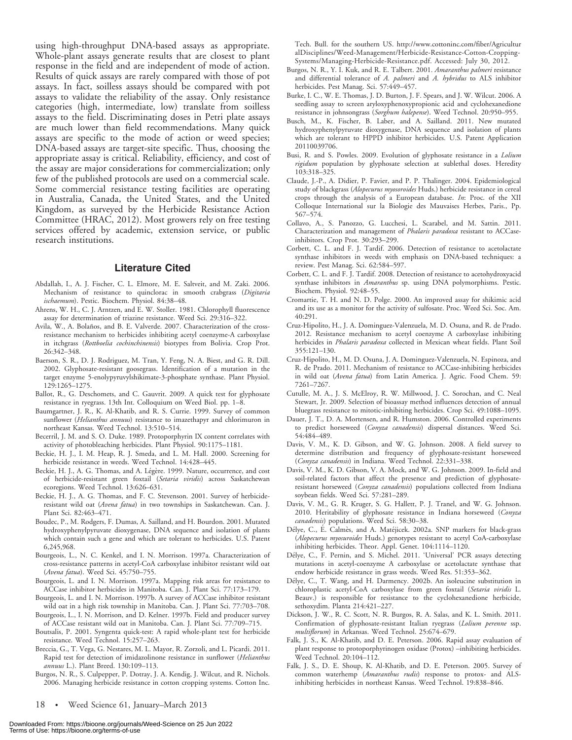using high-throughput DNA-based assays as appropriate. Whole-plant assays generate results that are closest to plant response in the field and are independent of mode of action. Results of quick assays are rarely compared with those of pot assays. In fact, soilless assays should be compared with pot assays to validate the reliability of the assay. Only resistance categories (high, intermediate, low) translate from soilless assays to the field. Discriminating doses in Petri plate assays are much lower than field recommendations. Many quick assays are specific to the mode of action or weed species; DNA-based assays are target-site specific. Thus, choosing the appropriate assay is critical. Reliability, efficiency, and cost of the assay are major considerations for commercialization; only few of the published protocols are used on a commercial scale. Some commercial resistance testing facilities are operating in Australia, Canada, the United States, and the United Kingdom, as surveyed by the Herbicide Resistance Action Committee (HRAC, 2012). Most growers rely on free testing services offered by academic, extension service, or public research institutions.

### Literature Cited

- Abdallah, I., A. J. Fischer, C. L. Elmore, M. E. Saltveit, and M. Zaki. 2006. Mechanism of resistance to quinclorac in smooth crabgrass (Digitaria ischaemum). Pestic. Biochem. Physiol. 84:38–48.
- Ahrens, W. H., C. J. Arntzen, and E. W. Stoller. 1981. Chlorophyll fluorescence assay for determination of triazine resistance. Weed Sci. 29:316–322.
- Avila, W., A. Bolaños, and B. E. Valverde. 2007. Characterization of the crossresistance mechanism to herbicides inhibiting acetyl coenzyme-A carboxylase in itchgrass (Rottboelia cochinchinensis) biotypes from Bolivia. Crop Prot. 26:342–348.
- Baerson, S. R., D. J. Rodriguez, M. Tran, Y. Feng, N. A. Biest, and G. R. Dill. 2002. Glyphosate-resistant goosegrass. Identification of a mutation in the target enzyme 5-enolypyruvylshikimate-3-phosphate synthase. Plant Physiol. 129:1265–1275.
- Ballot, R., G. Deschomets, and C. Gauvrit. 2009. A quick test for glyphosate resistance in ryegrass. 13th Int. Colloquium on Weed Biol. pp. 1–8.
- Baumgartner, J. R., K. Al-Khatib, and R. S. Currie. 1999. Survey of common sunflower (Helianthus annuus) resistance to imazethapyr and chlorimuron in northeast Kansas. Weed Technol. 13:510–514.
- Becerril, J. M. and S. O. Duke. 1989. Protoporphyrin IX content correlates with activity of photobleaching herbicides. Plant Physiol. 90:1175–1181.
- Beckie, H. J., I. M. Heap, R. J. Smeda, and L. M. Hall. 2000. Screening for herbicide resistance in weeds. Weed Technol. 14:428–445.
- Beckie, H. J., A. G. Thomas, and A. Légère. 1999. Nature, occurrence, and cost of herbicide-resistant green foxtail (Setaria viridis) across Saskatchewan ecoregions. Weed Technol. 13:626–631.
- Beckie, H. J., A. G. Thomas, and F. C. Stevenson. 2001. Survey of herbicideresistant wild oat (Avena fatua) in two townships in Saskatchewan. Can. J. Plant Sci. 82:463–471.
- Boudec, P., M. Rodgers, F. Dumas, A. Sailland, and H. Bourdon. 2001. Mutated hydroxyphenylpyruvate dioxygenase, DNA sequence and isolation of plants which contain such a gene and which are tolerant to herbicides. U.S. Patent 6,245,968.
- Bourgeois, L., N. C. Kenkel, and I. N. Morrison. 1997a. Characterization of cross-resistance patterns in acetyl-CoA carboxylase inhibitor resistant wild oat (Avena fatua). Weed Sci. 45:750–755.
- Bourgeois, L. and I. N. Morrison. 1997a. Mapping risk areas for resistance to ACCase inhibitor herbicides in Manitoba. Can. J. Plant Sci. 77:173–179.
- Bourgeois, L. and I. N. Morrison. 1997b. A survey of ACCase inhibitor resistant wild oat in a high risk township in Manitoba. Can. J. Plant Sci. 77:703–708.
- Bourgeois, L., I. N. Morrison, and D. Kelner. 1997b. Field and producer survey of ACCase resistant wild oat in Manitoba. Can. J. Plant Sci. 77:709–715.
- Boutsalis, P. 2001. Syngenta quick-test: A rapid whole-plant test for herbicide resistance. Weed Technol. 15:257–263.
- Breccia, G., T. Vega, G. Nestares, M. L. Mayor, R. Zorzoli, and L. Picardi. 2011. Rapid test for detection of imidazolinone resistance in sunflower (Helianthus annuus L.). Plant Breed. 130:109–113.
- Burgos, N. R., S. Culpepper, P. Dotray, J. A. Kendig, J. Wilcut, and R. Nichols. 2006. Managing herbicide resistance in cotton cropping systems. Cotton Inc.

Tech. Bull. for the southern US. http://www.cottoninc.com/fiber/Agricultur alDisciplines/Weed-Management/Herbicide-Resistance-Cotton-Cropping-Systems/Managing-Herbicide-Resistance.pdf. Accessed: July 30, 2012.

- Burgos, N. R., Y. I. Kuk, and R. E. Talbert. 2001. Amaranthus palmeri resistance and differential tolerance of A. palmeri and A. hybridus to ALS inhibitor herbicides. Pest Manag. Sci. 57:449-457.
- Burke, I. C., W. E. Thomas, J. D. Burton, J. F. Spears, and J. W. Wilcut. 2006. A seedling assay to screen aryloxyphenoxypropionic acid and cyclohexanedione resistance in johnsongrass (Sorghum halepense). Weed Technol. 20:950–955.
- Busch, M., K. Fischer, B. Laber, and A. Sailland. 2011. New mutated hydroxyphenylpyruvate dioxygenase, DNA sequence and isolation of plants which are tolerant to HPPD inhibitor herbicides. U.S. Patent Application 20110039706.
- Busi, R. and S. Powles. 2009. Evolution of glyphosate resistance in a Lolium rigidum population by glyphosate selection at sublethal doses. Heredity 103:318–325.
- Claude, J.-P., A. Didier, P. Favier, and P. P. Thalinger. 2004. Epidemiological study of blackgrass (Alopecurus myosoroides Huds.) herbicide resistance in cereal crops through the analysis of a European database. In: Proc. of the XII Colloque International sur la Biologie des Mauvaises Herbes, Paris., Pp. 567–574.
- Collavo, A., S. Panozzo, G. Lucchesi, L. Scarabel, and M. Sattin. 2011. Characterization and management of Phalaris paradoxa resistant to ACCaseinhibitors. Crop Prot. 30:293–299.
- Corbett, C. L. and F. J. Tardif. 2006. Detection of resistance to acetolactate synthase inhibitors in weeds with emphasis on DNA-based techniques: a review. Pest Manag. Sci. 62:584–597.
- Corbett, C. L. and F. J. Tardif. 2008. Detection of resistance to acetohydroxyacid synthase inhibitors in Amaranthus sp. using DNA polymorphisms. Pestic. Biochem. Physiol. 92:48–55.
- Cromartie, T. H. and N. D. Polge. 2000. An improved assay for shikimic acid and its use as a monitor for the activity of sulfosate. Proc. Weed Sci. Soc. Am.  $40.291$ .
- Cruz-Hipolito, H., J. A. Dominguez-Valenzuela, M. D. Osuna, and R. de Prado. 2012. Resistance mechanism to acetyl coenzyme A carboxylase inhibiting herbicides in Phalaris paradoxa collected in Mexican wheat fields. Plant Soil 355:121–130.
- Cruz-Hipolito, H., M. D. Osuna, J. A. Dominguez-Valenzuela, N. Espinoza, and R. de Prado. 2011. Mechanism of resistance to ACCase-inhibiting herbicides in wild oat (Avena fatua) from Latin America. J. Agric. Food Chem. 59: 7261–7267.
- Cutulle, M. A., J. S. McElroy, R. W. Millwood, J. C. Sorochan, and C. Neal Stewart, Jr. 2009. Selection of bioassay method influences detection of annual bluegrass resistance to mitotic-inhibiting herbicides. Crop Sci. 49:1088–1095.
- Dauer, J. T., D. A. Mortensen, and R. Humston. 2006. Controlled experiments to predict horseweed (Conyza canadensis) dispersal distances. Weed Sci. 54:484–489.
- Davis, V. M., K. D. Gibson, and W. G. Johnson. 2008. A field survey to determine distribution and frequency of glyphosate-resistant horseweed (Conyza canadensis) in Indiana. Weed Technol. 22:331-338.
- Davis, V. M., K. D. Gibson, V. A. Mock, and W. G. Johnson. 2009. In-field and soil-related factors that affect the presence and prediction of glyphosateresistant horseweed (Conyza canadensis) populations collected from Indiana soybean fields. Weed Sci. 57:281–289.
- Davis, V. M., G. R. Kruger, S. G. Hallett, P. J. Tranel, and W. G. Johnson. 2010. Heritability of glyphosate resistance in Indiana horseweed (Conyza canadensis) populations. Weed Sci. 58:30–38.
- Délye, C., É. Calmès, and A. Matéjicek. 2002a. SNP markers for black-grass (Alopecurus myosuroides Huds.) genotypes resistant to acetyl CoA-carboxylase inhibiting herbicides. Theor. Appl. Genet. 104:1114–1120.
- Délye, C., F. Pernin, and S. Michel. 2011. 'Universal' PCR assays detecting mutations in acetyl-coenzyme A carboxylase or acetolactate synthase that endow herbicide resistance in grass weeds. Weed Res. 51:353–362.
- Délye, C., T. Wang, and H. Darmency. 2002b. An isoleucine substitution in chloroplastic acetyl-CoA carboxylase from green foxtail (Setaria viridis L. Beauv.) is responsible for resistance to the cyclohexanedione herbicide, sethoxydim. Planta 214:421–227.
- Dickson, J. W., R. C. Scott, N. R. Burgos, R. A. Salas, and K. L. Smith. 2011. Confirmation of glyphosate-resistant Italian ryegrass (Lolium perenne ssp. multiflorum) in Arkansas. Weed Technol. 25:674–679.
- Falk, J. S., K. Al-Khatib, and D. E. Peterson. 2006. Rapid assay evaluation of plant response to protoporphyrinogen oxidase (Protox) –inhibiting herbicides. Weed Technol. 20:104–112.
- Falk, J. S., D. E. Shoup, K. Al-Khatib, and D. E. Peterson. 2005. Survey of common waterhemp (Amaranthus rudis) response to protox- and ALSinhibiting herbicides in northeast Kansas. Weed Technol. 19:838–846.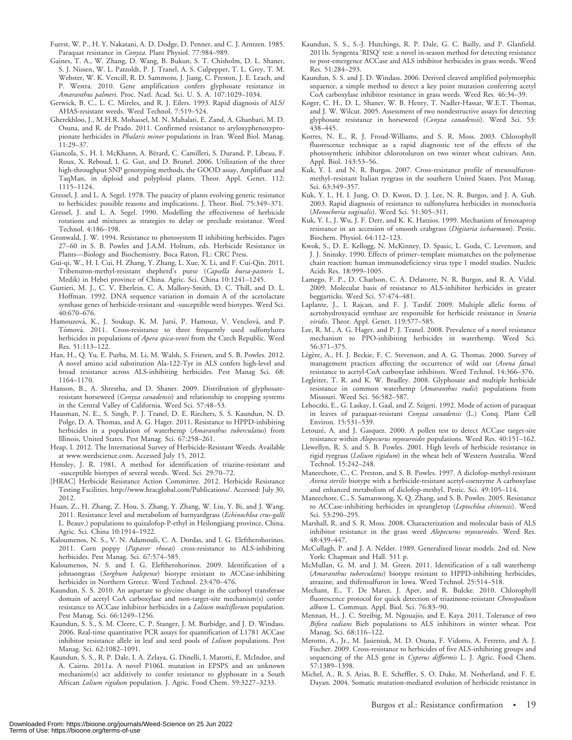- Fuerst, W. P., H. Y. Nakatani, A. D. Dodge, D. Penner, and C. J. Arntzen. 1985. Paraquat resistance in Conyza. Plant Physiol. 77:984–989.
- Gaines, T. A., W. Zhang, D. Wang, B. Bukun, S. T. Chisholm, D. L. Shaner, S. J. Nissen, W. L. Patzoldt, P. J. Tranel, A. S. Culpepper, T. L. Grey, T. M. Webster, W. K. Vencill, R. D. Sammons, J. Jiang, C. Preston, J. E. Leach, and P. Westra. 2010. Gene amplification confers glyphosate resistance in Amaranthus palmeri. Proc. Natl. Acad. Sci. U. S. A. 107:1029–1034.
- Gerwick, B. C., L. C. Mireles, and R. J. Eilers. 1993. Rapid diagnosis of ALS/ AHAS-resistant weeds. Weed Technol. 7:519–524.
- Gherekhloo, J., M.H.R. Mohassel, M. N. Mahalati, E. Zand, A. Ghanbari, M. D. Osuna, and R. de Prado. 2011. Confirmed resistance to aryloxyphenoxypropionate herbicides in *Phalaris minor* populations in Iran. Weed Biol. Manag. 11:29–37.
- Giancola, S., H. I. McKhann, A. Bérard, C. Camilleri, S. Durand, P. Libeau, F. Roux, X. Reboud, I. G. Gut, and D. Brunel. 2006. Utilization of the three high-throughput SNP genotyping methods, the GOOD assay, Amplifluor and TaqMan, in diploid and polyploid plants. Theor. Appl. Genet. 112: 1115–1124.
- Gressel, J. and L. A. Segel. 1978. The paucity of plants evolving genetic resistance to herbicides: possible reasons and implications. J. Theor. Biol. 75:349–371.
- Gressel, J. and L. A. Segel. 1990. Modelling the effectiveness of herbicide rotations and mixtures as strategies to delay or preclude resistance. Weed Technol. 4:186–198.
- Gronwald, J. W. 1994. Resistance to photosystem II inhibiting herbicides. Pages 27–60 in S. B. Powles and J.A.M. Holtum, eds. Herbicide Resistance in Plants—Biology and Biochemistry. Boca Raton, FL: CRC Press.
- Gui-qi, W., H. I. Cui, H. Zhang, Y. Zhang, L. Xue, X. Li, and F. Cui-Qin. 2011. Tribenuron-methyl-resistant shepherd's purse (Capsella bursa-pastoris L. Medik) in Hebei province of China. Agric. Sci. China 10:1241–1245.
- Guttieri, M. J., C. V. Eberlein, C. A. Mallory-Smith, D. C. Thill, and D. L. Hoffman. 1992. DNA sequence variation in domain A of the acetolactate synthase genes of herbicide-resistant and -susceptible weed biotypes. Weed Sci. 40:670–676.
- Hamouzová, K., J. Soukup, K. M. Jursí, P. Hamouz, V. Venclová, and P. Tómová. 2011. Cross-resistance to three frequently used sulfonylurea herbicides in populations of Apera spica-venti from the Czech Republic. Weed Res. 51:113–122.
- Han, H., Q. Yu, E. Purba, M. Li, M. Walsh, S. Friesen, and S. B. Powles. 2012. A novel amino acid substitution Ala-122-Tyr in ALS confers high-level and broad resistance across ALS-inhibiting herbicides. Pest Manag Sci. 68: 1164–1170.
- Hanson, B., A. Shrestha, and D. Shaner. 2009. Distribution of glyphosateresistant horseweed (Conyza canadensis) and relationship to cropping systems in the Central Valley of California. Weed Sci. 57:48–53.
- Hausman, N. E., S. Singh, P. J. Tranel, D. E. Riechers, S. S. Kaundun, N. D. Polge, D. A. Thomas, and A. G. Hager. 2011. Resistance to HPPD-inhibiting herbicides in a population of waterhemp (Amaranthus tuberculatus) from Illinois, United States. Pest Manag. Sci. 67:258–261.
- Heap, I. 2012. The International Survey of Herbicide-Resistant Weeds. Available at www.weedscience.com. Accessed July 15, 2012.
- Hensley, J. R. 1981. A method for identification of triazine-resistant and -susceptible biotypes of several weeds. Weed. Sci. 29:70–72.
- [HRAC] Herbicide Resistance Action Committee. 2012. Herbicide Resistance Testing Facilities. http://www.hracglobal.com/Publications/. Accessed: July 30, 2012.
- Huan, Z., H. Zhang, Z. Hou, S. Zhang, Y. Zhang, W. Liu, Y. Bi, and J. Wang. 2011. Resistance level and metabolism of barnyardgrass (Echinochloa crus-galli L. Beauv.) populations to quizalofop-P-ethyl in Heilongjiang province, China. Agric. Sci. China 10:1914–1922.
- Kaloumenos, N. S., V. N. Adamouli, C. A. Dordas, and I. G. Eleftherohorinos. 2011. Corn poppy (Papaver rhoeas) cross-resistance to ALS-inhibiting herbicides. Pest Manag. Sci. 67:574–585.
- Kaloumenos, N. S. and I. G. Eleftherohorinos. 2009. Identification of a johnsongrass (Sorghum halepense) biotype resistant to ACCase-inhibiting herbicides in Northern Greece. Weed Technol. 23:470–476.
- Kaundun, S. S. 2010. An aspartate to glycine change in the carboxyl transferase domain of acetyl CoA carboxylase and non-target-site mechanism(s) confer resistance to ACCase inhibitor herbicides in a *Lolium multiflorum* population. Pest Manag. Sci. 66:1249–1256.
- Kaundun, S. S., S. M. Cleere, C. P. Stanger, J. M. Burbidge, and J. D. Windass. 2006. Real-time quantitative PCR assays for quantification of L1781 ACCase inhibitor resistance allele in leaf and seed pools of *Lolium* populations. Pest Manag. Sci. 62:1082–1091.
- Kaundun, S. S., R. P. Dale, I. A. Zelaya, G. Dinelli, I. Marotti, E. McIndoe, and A. Cairns. 2011a. A novel P106L mutation in EPSPS and an unknown mechanism(s) act additively to confer resistance to glyphosate in a South African Lolium rigidum population. J. Agric. Food Chem. 59:3227-3233.
- Kaundun, S. S., S.-J. Hutchings, R. P. Dale, G. C. Bailly, and P. Glanfield. 2011b. Syngenta 'RISQ' test: a novel in-season method for detecting resistance to post-emergence ACCase and ALS inhibitor herbicides in grass weeds. Weed Res. 51:284–293.
- Kaundun, S. S. and J. D. Windass. 2006. Derived cleaved amplified polymorphic sequence, a simple method to detect a key point mutation conferring acetyl CoA carboxylase inhibitor resistance in grass weeds. Weed Res. 46:34–39.
- Koger, C. H., D. L. Shaner, W. B. Henry, T. Nadler-Hassar, W.E.T. Thomas, and J. W. Wilcut. 2005. Assessment of two nondestructive assays for detecting glyphosate resistance in horseweed (Conyza canadensis). Weed Sci. 53: 438–445.
- Korres, N. E., R. J. Froud-Williams, and S. R. Moss. 2003. Chlorophyll fluorescence technique as a rapid diagnostic test of the effects of the photosynthetic inhibitor chlorotoluron on two winter wheat cultivars. Ann. Appl. Biol. 143:53–56.
- Kuk, Y. I. and N. R. Burgos. 2007. Cross-resistance profile of mesosulfuronmethyl–resistant Italian ryegrass in the southern United States. Pest Manag. Sci. 63:349–357.
- Kuk, Y. I., H. I. Jung, O. D. Kwon, D. J. Lee, N. R. Burgos, and J. A. Guh. 2003. Rapid diagnosis of resistance to sulfonylurea herbicides in monochoria (Monochoria vaginalis). Weed Sci. 51:305-311.
- Kuk, Y. I., J. Wu, J. F. Derr, and K. K. Hatzios. 1999. Mechanism of fenoxaprop resistance in an accession of smooth crabgrass (Digitaria ischaemum). Pestic. Biochem. Physiol. 64:112–123.
- Kwok, S., D. E. Kellogg, N. McKinney, D. Spasic, L. Goda, C. Levenson, and J. J. Sninsky. 1990. Effects of primer–template mismatches on the polymerase chain reaction: human immunodeficiency virus type 1 model studies. Nucleic Acids Res. 18:999–1005.
- Lamego, F. P., D. Charlson, C. A. Delatorre, N. R. Burgos, and R. A. Vidal. 2009. Molecular basis of resistance to ALS-inhibitor herbicides in greater beggarticks. Weed Sci. 57:474–481.
- Laplante, J., I. Rajcan, and F. J. Tardif. 2009. Multiple allelic forms of acetohydroxyacid synthase are responsible for herbicide resistance in Setaria viridis. Theor. Appl. Genet. 119:577-585.
- Lee, R. M., A. G. Hager, and P. J. Tranel. 2008. Prevalence of a novel resistance mechanism to PPO-inhibiting herbicides in waterhemp. Weed Sci. 56:371–375.
- Légère, A., H. J. Beckie, F. C. Stevenson, and A. G. Thomas. 2000. Survey of management practices affecting the occurrence of wild oat (Avena fatua) resistance to acetyl-CoA carboxylase inhibitors. Weed Technol. 14:366–376.
- Legleiter, T. R. and K. W. Bradley. 2008. Glyphosate and multiple herbicide resistance in common waterhemp (Amaranthus rudis) populations from Missouri. Weed Sci. 56:582–587.
- Lehoczki, E., G. Laskay, I. Gaal, and Z. Szigeti. 1992. Mode of action of paraquat in leaves of paraquat-resistant Conyza canadensis (L.) Conq. Plant Cell Environ. 15:531–539.
- Letouzé, A. and J. Gasquez. 2000. A pollen test to detect ACCase target-site resistance within *Alopecurus myosuroides* populations. Weed Res. 40:151-162.
- Llewellyn, R. S. and S. B. Powles. 2001. High levels of herbicide resistance in rigid ryegrass (Lolium rigidum) in the wheat belt of Western Australia. Weed Technol. 15:242–248.
- Maneechote, C., C. Preston, and S. B. Powles. 1997. A diclofop-methyl-resistant Avena sterilis biotype with a herbicide-resistant acetyl-coenzyme A carboxylase and enhanced metabolism of diclofop-methyl. Pestic. Sci. 49:105–114.
- Maneechote, C., S. Samanwong, X. Q. Zhang, and S. B. Powles. 2005. Resistance to ACCase-inhibiting herbicides in sprangletop (Leptochloa chinensis). Weed Sci. 53:290–295.
- Marshall, R. and S. R. Moss. 2008. Characterization and molecular basis of ALS inhibitor resistance in the grass weed Alopecurus myosuroides. Weed Res. 48:439–447.
- McCullagh, P. and J. A. Nelder. 1989. Generalized linear models. 2nd ed. New York: Chapman and Hall. 511 p.
- McMullan, G. M. and J. M. Green. 2011. Identification of a tall waterhemp (Amaranthus tuberculatus) biotype resistant to HPPD-inhibiting herbicides, atrazine, and thifensulfuron in Iowa. Weed Technol. 25:514–518.
- Mechant, E., T. De Marez, J. Aper, and R. Bulcke. 2010. Chlorophyll fluorescence protocol for quick detection of triazinone-resistant Chenopodium album L. Commun. Appl. Biol. Sci. 76:83-90.
- Mennan, H., J. C. Streibig, M. Ngouajio, and E. Kaya. 2011. Tolerance of two Bifora radians Bieb populations to ALS inhibitors in winter wheat. Pest Manag. Sci. 68:116–122.
- Merotto, A., Jr., M. Jasieniuk, M. D. Osuna, F. Vidotto, A. Ferrero, and A. J. Fischer. 2009. Cross-resistance to herbicides of five ALS-inhibiting groups and sequencing of the ALS gene in Cyperus difformis L. J. Agric. Food Chem. 57:1389–1398.
- Michel, A., R. S. Arias, B. E. Scheffler, S. O. Duke, M. Netherland, and F. E. Dayan. 2004. Somatic mutation-mediated evolution of herbicide resistance in